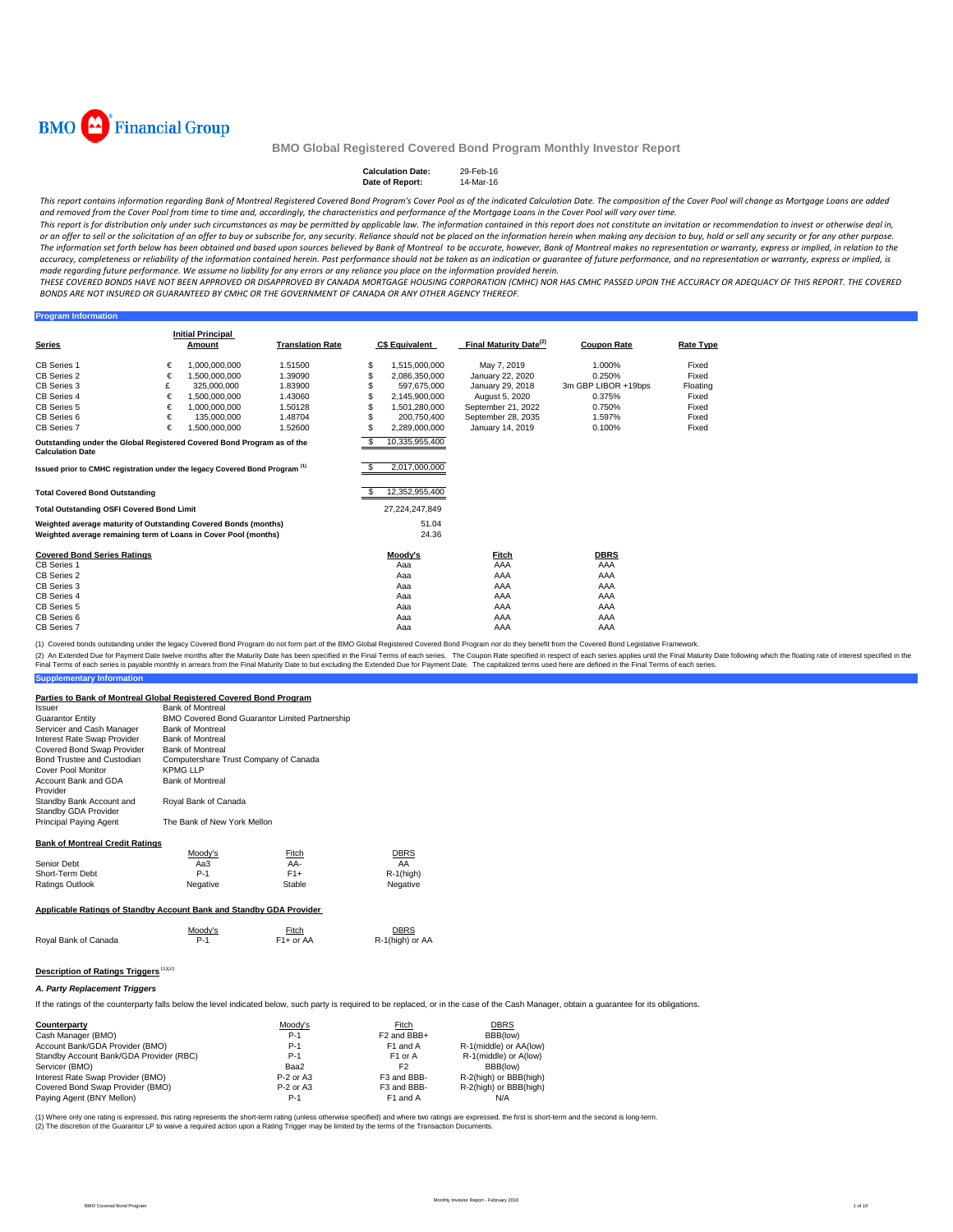

#### **Calculation Date:** 29-Feb-16 **Date of Report:**

This report contains information regarding Bank of Montreal Registered Covered Bond Program's Cover Pool as of the indicated Calculation Date. The composition of the Cover Pool will change as Mortgage Loans are added and removed from the Cover Pool from time to time and, accordingly, the characteristics and performance of the Mortgage Loans in the Cover Pool will vary over time.

This report is for distribution only under such circumstances as may be permitted by applicable law. The information contained in this report does not constitute an invitation or recommendation to invest or otherwise deal or an offer to sell or the solicitation of an offer to buy or subscribe for, any security. Reliance should not be placed on the information herein when making any decision to buy, hold or sell any security or for any other The information set forth below has been obtained and based upon sources believed by Bank of Montreal to be accurate, however, Bank of Montreal makes no representation or warranty, express or implied, in relation to the accuracy, completeness or reliability of the information contained herein. Past performance should not be taken as an indication or guarantee of future performance, and no representation or warranty, express or implied, is made regarding future performance. We assume no liability for any errors or any reliance you place on the information provided herein.

THESE COVERED BONDS HAVE NOT BEEN APPROVED OR DISAPPROVED BY CANADA MORTGAGE HOUSING CORPORATION (CMHC) NOR HAS CMHC PASSED UPON THE ACCURACY OR ADFOUACY OF THIS REPORT. THE COVERED BONDS ARE NOT INSURED OR GUARANTEED BY CMHC OR THE GOVERNMENT OF CANADA OR ANY OTHER AGENCY THEREOF.

#### **Program Inform**

| <b>Series</b>                                                                          |   | <b>Initial Principal</b><br>Amount | <b>Translation Rate</b> |   | <b>C\$ Equivalent</b> | Final Maturity Date <sup>(2)</sup> | <b>Coupon Rate</b>  | <b>Rate Type</b> |
|----------------------------------------------------------------------------------------|---|------------------------------------|-------------------------|---|-----------------------|------------------------------------|---------------------|------------------|
|                                                                                        |   |                                    |                         |   |                       |                                    |                     |                  |
| <b>CB Series 1</b>                                                                     | € | 1.000.000.000                      | 1.51500                 | S | 1,515,000,000         | May 7, 2019                        | 1.000%              | Fixed            |
| CB Series 2                                                                            | € | 1.500.000.000                      | 1.39090                 | S | 2,086,350,000         | January 22, 2020                   | 0.250%              | Fixed            |
| CB Series 3                                                                            | £ | 325,000,000                        | 1.83900                 |   | 597.675.000           | January 29, 2018                   | 3m GBP LIBOR +19bps | Floating         |
| CB Series 4                                                                            | € | 1,500,000,000                      | 1.43060                 |   | 2.145.900.000         | August 5, 2020                     | 0.375%              | Fixed            |
| CB Series 5                                                                            | € | 1.000.000.000                      | 1.50128                 |   | 1.501.280.000         | September 21, 2022                 | 0.750%              | Fixed            |
| CB Series 6                                                                            | € | 135,000,000                        | 1.48704                 | S | 200.750.400           | September 28, 2035                 | 1.597%              | Fixed            |
| CB Series 7                                                                            | € | 1,500,000,000                      | 1.52600                 | S | 2,289,000,000         | January 14, 2019                   | 0.100%              | Fixed            |
| Outstanding under the Global Registered Covered Bond Program as of the                 |   |                                    |                         |   | 10,335,955,400        |                                    |                     |                  |
| <b>Calculation Date</b>                                                                |   |                                    |                         |   |                       |                                    |                     |                  |
| Issued prior to CMHC registration under the legacy Covered Bond Program <sup>(1)</sup> |   |                                    |                         | S | 2.017.000.000         |                                    |                     |                  |
|                                                                                        |   |                                    |                         |   |                       |                                    |                     |                  |
| <b>Total Covered Bond Outstanding</b>                                                  |   |                                    |                         |   | 12.352.955.400        |                                    |                     |                  |
| <b>Total Outstanding OSFI Covered Bond Limit</b>                                       |   |                                    |                         |   | 27,224,247,849        |                                    |                     |                  |
|                                                                                        |   |                                    |                         |   |                       |                                    |                     |                  |
| Weighted average maturity of Outstanding Covered Bonds (months)                        |   |                                    |                         |   | 51.04                 |                                    |                     |                  |
| Weighted average remaining term of Loans in Cover Pool (months)                        |   |                                    |                         |   | 24.36                 |                                    |                     |                  |
| <b>Covered Bond Series Ratings</b>                                                     |   |                                    |                         |   | Moody's               | Fitch                              | <b>DBRS</b>         |                  |
| <b>CB Series 1</b>                                                                     |   |                                    |                         |   | Aaa                   | AAA                                | AAA                 |                  |
| CB Series 2                                                                            |   |                                    |                         |   | Aaa                   | AAA                                | AAA                 |                  |
| CB Series 3                                                                            |   |                                    |                         |   | Aaa                   | AAA                                | AAA                 |                  |
| CB Series 4                                                                            |   |                                    |                         |   | Aaa                   | AAA                                | AAA                 |                  |
| CB Series 5                                                                            |   |                                    |                         |   | Aaa                   | AAA                                | AAA                 |                  |
| CB Series 6                                                                            |   |                                    |                         |   | Aaa                   | AAA                                | AAA                 |                  |
| CB Series 7                                                                            |   |                                    |                         |   | Aaa                   | AAA                                | AAA                 |                  |

(1) Covered bonds outstanding under the legacy Covered Bond Program do not form part of the BMO Global Registered Covered Bond Program nor do they benefit from the Covered Bond Legislative Framework.

(2) An Extended Due for Payment Date twelve months after the Maturity Date has been specified in the Final Terms of each series. The Coupon Rate specified in the float has been but excluding the Extended Due for Payment Da

|  |  | <b>Supplementary Information</b> |  |  |  |
|--|--|----------------------------------|--|--|--|
|--|--|----------------------------------|--|--|--|

| Parties to Bank of Montreal Global Registered Covered Bond Program  |                                       |                                                |                 |
|---------------------------------------------------------------------|---------------------------------------|------------------------------------------------|-----------------|
| Issuer                                                              | <b>Bank of Montreal</b>               |                                                |                 |
| <b>Guarantor Entity</b>                                             |                                       | BMO Covered Bond Guarantor Limited Partnership |                 |
| Servicer and Cash Manager                                           | <b>Bank of Montreal</b>               |                                                |                 |
| Interest Rate Swap Provider                                         | <b>Bank of Montreal</b>               |                                                |                 |
| Covered Bond Swap Provider                                          | <b>Bank of Montreal</b>               |                                                |                 |
| Bond Trustee and Custodian                                          | Computershare Trust Company of Canada |                                                |                 |
| Cover Pool Monitor                                                  | KPMG I I P                            |                                                |                 |
| Account Bank and GDA                                                | <b>Bank of Montreal</b>               |                                                |                 |
| Provider                                                            |                                       |                                                |                 |
| Standby Bank Account and                                            | Royal Bank of Canada                  |                                                |                 |
| Standby GDA Provider                                                |                                       |                                                |                 |
| Principal Paying Agent                                              | The Bank of New York Mellon           |                                                |                 |
| <b>Bank of Montreal Credit Ratings</b>                              |                                       |                                                |                 |
|                                                                     | Moody's                               | Fitch                                          | DBRS            |
| Senior Debt                                                         | Aa3                                   | $AA-$                                          | AA              |
| Short-Term Debt                                                     | $P-1$                                 | $F1+$                                          | $R-1$ (high)    |
| Ratings Outlook                                                     | Negative                              | Stable                                         | Negative        |
|                                                                     |                                       |                                                |                 |
| Applicable Ratings of Standby Account Bank and Standby GDA Provider |                                       |                                                |                 |
|                                                                     | Moody's                               | Fitch                                          | DBRS            |
| Royal Bank of Canada                                                | $P-1$                                 | $F1+$ or AA                                    | R-1(high) or AA |
|                                                                     |                                       |                                                |                 |
|                                                                     |                                       |                                                |                 |
| Description of Ratings Triggers <sup>(1)(2)</sup>                   |                                       |                                                |                 |
|                                                                     |                                       |                                                |                 |

#### *A. Party Replacement Triggers*

If the ratings of the counterparty falls below the level indicated below, such party is required to be replaced, or in the case of the Cash Manager, obtain a guarantee for its obligations.

| Counterparty                            | Moody's     | Fitch                   | <b>DBRS</b>            |
|-----------------------------------------|-------------|-------------------------|------------------------|
| Cash Manager (BMO)                      | P-1         | F <sub>2</sub> and BBB+ | BBB(low)               |
| Account Bank/GDA Provider (BMO)         | $P-1$       | F1 and A                | R-1(middle) or AA(low) |
| Standby Account Bank/GDA Provider (RBC) | $P-1$       | F <sub>1</sub> or A     | R-1(middle) or A(low)  |
| Servicer (BMO)                          | Baa2        | F <sub>2</sub>          | BBB(low)               |
| Interest Rate Swap Provider (BMO)       | $P-2$ or A3 | F3 and BBB-             | R-2(high) or BBB(high) |
| Covered Bond Swap Provider (BMO)        | $P-2$ or A3 | F <sub>3</sub> and BBB- | R-2(high) or BBB(high) |
| Paying Agent (BNY Mellon)               | P-1         | F1 and A                | N/A                    |
|                                         |             |                         |                        |

(1) Where only one rating is expressed, this rating represents the short-term rating (unless otherwise specified) and where two ratings are expressed, the first is short-term and the second is long-term. (2) The discretion of the Guarantor LP to waive a required action upon a Rating Trigger may be limited by the terms of the Transaction Documents.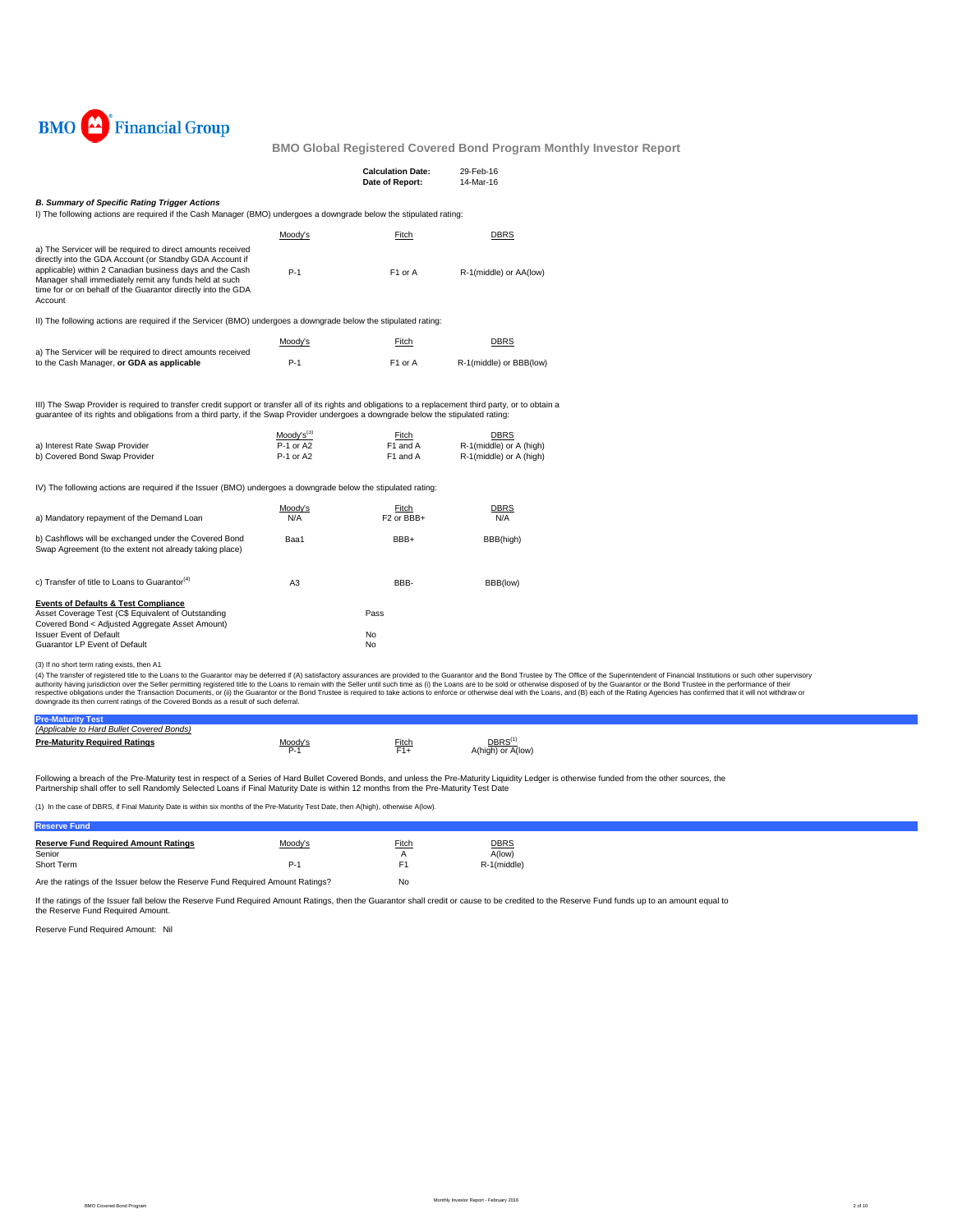

|                                                                                                                                                                                                                                                                                                                          |                                                                                                                                                                                                                                                                                                 | <b>Calculation Date:</b><br>Date of Report: | 29-Feb-16<br>14-Mar-16                                     |  |  |  |  |  |
|--------------------------------------------------------------------------------------------------------------------------------------------------------------------------------------------------------------------------------------------------------------------------------------------------------------------------|-------------------------------------------------------------------------------------------------------------------------------------------------------------------------------------------------------------------------------------------------------------------------------------------------|---------------------------------------------|------------------------------------------------------------|--|--|--|--|--|
| <b>B. Summary of Specific Rating Trigger Actions</b><br>I) The following actions are required if the Cash Manager (BMO) undergoes a downgrade below the stipulated rating:                                                                                                                                               |                                                                                                                                                                                                                                                                                                 |                                             |                                                            |  |  |  |  |  |
|                                                                                                                                                                                                                                                                                                                          | Moody's                                                                                                                                                                                                                                                                                         | Fitch                                       | <b>DBRS</b>                                                |  |  |  |  |  |
| a) The Servicer will be required to direct amounts received<br>directly into the GDA Account (or Standby GDA Account if<br>applicable) within 2 Canadian business days and the Cash<br>Manager shall immediately remit any funds held at such<br>time for or on behalf of the Guarantor directly into the GDA<br>Account | $P-1$                                                                                                                                                                                                                                                                                           | F1 or A                                     | R-1(middle) or AA(low)                                     |  |  |  |  |  |
| II) The following actions are required if the Servicer (BMO) undergoes a downgrade below the stipulated rating:                                                                                                                                                                                                          |                                                                                                                                                                                                                                                                                                 |                                             |                                                            |  |  |  |  |  |
|                                                                                                                                                                                                                                                                                                                          | Moody's                                                                                                                                                                                                                                                                                         | Fitch                                       | <b>DBRS</b>                                                |  |  |  |  |  |
| a) The Servicer will be required to direct amounts received<br>to the Cash Manager, or GDA as applicable                                                                                                                                                                                                                 | $P-1$                                                                                                                                                                                                                                                                                           | F1 or A                                     | R-1(middle) or BBB(low)                                    |  |  |  |  |  |
|                                                                                                                                                                                                                                                                                                                          | III) The Swap Provider is required to transfer credit support or transfer all of its rights and obligations to a replacement third party, or to obtain a<br>guarantee of its rights and obligations from a third party, if the Swap Provider undergoes a downgrade below the stipulated rating: |                                             |                                                            |  |  |  |  |  |
| a) Interest Rate Swap Provider<br>b) Covered Bond Swap Provider                                                                                                                                                                                                                                                          | $Modv's^{(3)}$<br>P-1 or A2<br>P-1 or A2                                                                                                                                                                                                                                                        | Fitch<br>F1 and A<br>F1 and A               | DBRS<br>R-1(middle) or A (high)<br>R-1(middle) or A (high) |  |  |  |  |  |
| IV) The following actions are required if the Issuer (BMO) undergoes a downgrade below the stipulated rating:                                                                                                                                                                                                            |                                                                                                                                                                                                                                                                                                 |                                             |                                                            |  |  |  |  |  |
| a) Mandatory repayment of the Demand Loan                                                                                                                                                                                                                                                                                | Moody's<br>N/A                                                                                                                                                                                                                                                                                  | Fitch<br>F <sub>2</sub> or BBB+             | <u>DBRS</u><br>N/A                                         |  |  |  |  |  |
| b) Cashflows will be exchanged under the Covered Bond<br>Swap Agreement (to the extent not already taking place)                                                                                                                                                                                                         | Baa1                                                                                                                                                                                                                                                                                            | BBB+                                        | BBB(high)                                                  |  |  |  |  |  |
| c) Transfer of title to Loans to Guarantor <sup>(4)</sup>                                                                                                                                                                                                                                                                | A <sub>3</sub>                                                                                                                                                                                                                                                                                  | BBB-                                        | BBB(low)                                                   |  |  |  |  |  |
| <b>Events of Defaults &amp; Test Compliance</b><br>Asset Coverage Test (C\$ Equivalent of Outstanding<br>Covered Bond < Adjusted Aggregate Asset Amount)                                                                                                                                                                 |                                                                                                                                                                                                                                                                                                 | Pass                                        |                                                            |  |  |  |  |  |
| <b>Issuer Event of Default</b><br>Guarantor LP Event of Default                                                                                                                                                                                                                                                          |                                                                                                                                                                                                                                                                                                 | No<br>No                                    |                                                            |  |  |  |  |  |

Guarantor LP Event of Default (3) If no short term rating exists, then A1

(4) The transfer of registered title to the Loans to the Guarantor may be deferred if (A) satisfactory assurances are provided to the Guarantor and the Belle remains of profile to the Superintent of Financial Institutions

| cable to Hard Bullet Covered Bonds)  |               |       |                    |
|--------------------------------------|---------------|-------|--------------------|
| <b>Pre-Maturity Required Ratings</b> | $Moody's P-1$ | Fitch | DBRS <sup>(1</sup> |
|                                      |               | $F1+$ | A(high) or A(low)  |
|                                      |               |       |                    |

Following a breach of the Pre-Maturity test in respect of a Series of Hard Bullet Covered Bonds, and unless the Pre-Maturity Liquidity Ledger is otherwise funded from the other sources, the<br>Partnership shall offer to sell

(1) In the case of DBRS, if Final Maturity Date is within six months of the Pre-Maturity Test Date, then A(high), otherwise A(low).

### **Reserve Fund Reserve Fund Required Amount Ratings** Moody's Fitch DBRS DERS<br>
Senior Adiow)<br>
Short Term R-1 (middle) Senior A(low) and A A(low) and A A(low) and A A(low) and A A(low) and A A(low) and A A(low) and A A(low) and A Short Term R-1(middle) Reserves the Reserves of Performance Reserves F1 Reserves Reserves Reserves and Reserves Reserves Reserves and Reserves Reserves Reserves Reserves and Reserves Reserves Reserves and Reserves Reserves

Are the ratings of the Issuer below the Reserve Fund Required Amount Ratings? No

If the ratings of the Issuer fall below the Reserve Fund Required Amount Ratings, then the Guarantor shall credit or cause to be credited to the Reserve Fund funds up to an amount equal to the Reserve Fund Required Amount.

Reserve Fund Required Amount: Nil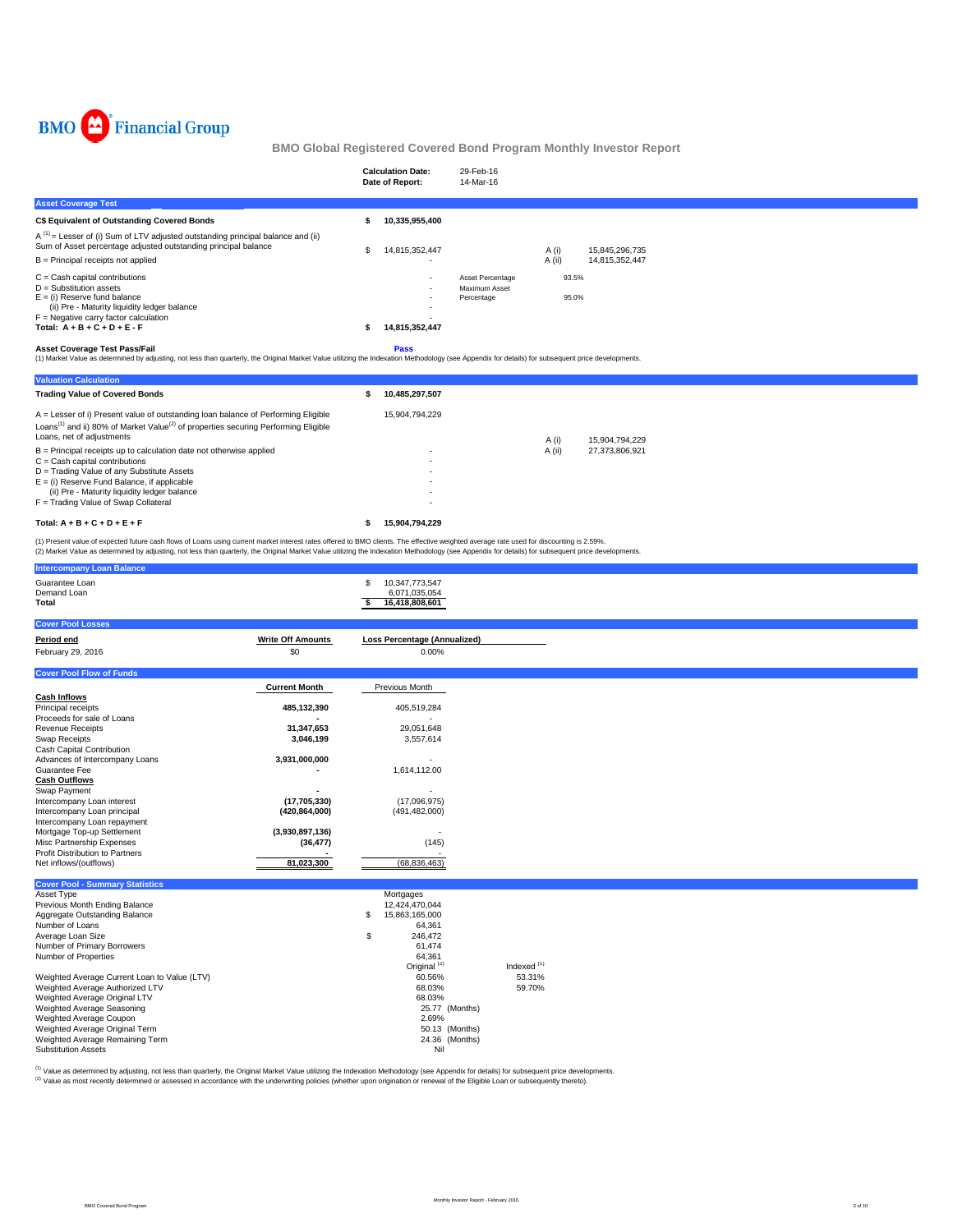

|                                                                                                                                                                                                                                            | <b>Calculation Date:</b><br>Date of Report: | 29-Feb-16<br>14-Mar-16                          |                            |
|--------------------------------------------------------------------------------------------------------------------------------------------------------------------------------------------------------------------------------------------|---------------------------------------------|-------------------------------------------------|----------------------------|
| <b>Asset Coverage Test</b>                                                                                                                                                                                                                 |                                             |                                                 |                            |
| <b>C\$ Equivalent of Outstanding Covered Bonds</b>                                                                                                                                                                                         | 10,335,955,400                              |                                                 |                            |
| $A^{(1)}$ = Lesser of (i) Sum of LTV adjusted outstanding principal balance and (ii)<br>Sum of Asset percentage adjusted outstanding principal balance                                                                                     | 14,815,352,447                              |                                                 | A (i)<br>15,845,296,735    |
| $B =$ Principal receipts not applied                                                                                                                                                                                                       |                                             |                                                 | $A$ (ii)<br>14,815,352,447 |
| $C =$ Cash capital contributions<br>$D =$ Substitution assets<br>$E = (i)$ Reserve fund balance<br>(ii) Pre - Maturity liquidity ledger balance<br>$F =$ Negative carry factor calculation<br>Total: $A + B + C + D + E - F$               | $\overline{\phantom{a}}$<br>14,815,352,447  | Asset Percentage<br>Maximum Asset<br>Percentage | 93.5%<br>95.0%             |
| <b>Asset Coverage Test Pass/Fail</b><br>(1) Market Value as determined by adjusting, not less than quarterly, the Original Market Value utilizing the Indexation Methodology (see Appendix for details) for subsequent price developments. | <b>Pass</b>                                 |                                                 |                            |
| <b>Valuation Calculation</b>                                                                                                                                                                                                               |                                             |                                                 |                            |
| <b>Trading Value of Covered Bonds</b>                                                                                                                                                                                                      | 10,485,297,507                              |                                                 |                            |
| A = Lesser of i) Present value of outstanding loan balance of Performing Eligible                                                                                                                                                          | 15,904,794,229                              |                                                 |                            |

| Total: $A + B + C + D + E + F$                                                                             | 15.904.794.229 |        |                |
|------------------------------------------------------------------------------------------------------------|----------------|--------|----------------|
| F = Trading Value of Swap Collateral                                                                       | ۰              |        |                |
| (ii) Pre - Maturity liquidity ledger balance                                                               | ۰              |        |                |
| $E =$ (i) Reserve Fund Balance, if applicable                                                              | ۰              |        |                |
| D = Trading Value of any Substitute Assets                                                                 |                |        |                |
| $C =$ Cash capital contributions                                                                           |                |        |                |
| $B =$ Principal receipts up to calculation date not otherwise applied                                      |                | A (ii) | 27.373.806.921 |
| Loans, net of adjustments                                                                                  |                | A (i)  | 15.904.794.229 |
| Loans <sup>(1)</sup> and ii) 80% of Market Value <sup>(2)</sup> of properties securing Performing Eligible |                |        |                |

(1) Present value of expected future cash flows of Loans using current market interest rates offered to BMO clients. The effective weighted average rate used for discounting is 2.59%.<br>(2) Market Value as determined by adju

| <b>Intercompany Loan Balance</b>             |                          |                                     |                        |  |  |
|----------------------------------------------|--------------------------|-------------------------------------|------------------------|--|--|
| Guarantee Loan                               |                          | \$<br>10,347,773,547                |                        |  |  |
| Demand Loan                                  |                          | 6,071,035,054                       |                        |  |  |
| Total                                        |                          | \$<br>16,418,808,601                |                        |  |  |
|                                              |                          |                                     |                        |  |  |
| <b>Cover Pool Losses</b>                     |                          |                                     |                        |  |  |
| Period end                                   | <b>Write Off Amounts</b> | <b>Loss Percentage (Annualized)</b> |                        |  |  |
| February 29, 2016                            | \$0                      | 0.00%                               |                        |  |  |
| <b>Cover Pool Flow of Funds</b>              |                          |                                     |                        |  |  |
|                                              | <b>Current Month</b>     | Previous Month                      |                        |  |  |
| <b>Cash Inflows</b>                          |                          |                                     |                        |  |  |
| Principal receipts                           | 485,132,390              | 405,519,284                         |                        |  |  |
| Proceeds for sale of Loans                   |                          |                                     |                        |  |  |
| <b>Revenue Receipts</b>                      | 31,347,653               | 29,051,648                          |                        |  |  |
| <b>Swap Receipts</b>                         | 3,046,199                | 3,557,614                           |                        |  |  |
| Cash Capital Contribution                    |                          |                                     |                        |  |  |
| Advances of Intercompany Loans               | 3,931,000,000            |                                     |                        |  |  |
| Guarantee Fee                                |                          | 1,614,112.00                        |                        |  |  |
| <b>Cash Outflows</b>                         |                          |                                     |                        |  |  |
| Swap Payment                                 |                          |                                     |                        |  |  |
| Intercompany Loan interest                   | (17,705,330)             | (17,096,975)                        |                        |  |  |
| Intercompany Loan principal                  | (420, 864, 000)          | (491, 482, 000)                     |                        |  |  |
| Intercompany Loan repayment                  |                          |                                     |                        |  |  |
| Mortgage Top-up Settlement                   | (3,930,897,136)          |                                     |                        |  |  |
| Misc Partnership Expenses                    | (36, 477)                | (145)                               |                        |  |  |
| Profit Distribution to Partners              |                          |                                     |                        |  |  |
| Net inflows/(outflows)                       | 81,023,300               | (68, 836, 463)                      |                        |  |  |
| <b>Cover Pool - Summary Statistics</b>       |                          |                                     |                        |  |  |
| Asset Type                                   |                          | Mortgages                           |                        |  |  |
| Previous Month Ending Balance                |                          | 12,424,470,044                      |                        |  |  |
| Aggregate Outstanding Balance                |                          | 15,863,165,000<br>S                 |                        |  |  |
| Number of Loans                              |                          | 64,361                              |                        |  |  |
| Average Loan Size                            |                          | \$<br>246,472                       |                        |  |  |
| Number of Primary Borrowers                  |                          | 61,474                              |                        |  |  |
| Number of Properties                         |                          | 64.361                              |                        |  |  |
|                                              |                          | Original <sup>(2)</sup>             | Indexed <sup>(1)</sup> |  |  |
| Weighted Average Current Loan to Value (LTV) |                          | 60.56%                              | 53.31%                 |  |  |
| Weighted Average Authorized LTV              |                          | 68.03%                              | 59.70%                 |  |  |
| Weighted Average Original LTV                |                          | 68.03%                              |                        |  |  |
| Weighted Average Seasoning                   |                          | 25.77 (Months)                      |                        |  |  |
| Weighted Average Coupon                      |                          | 2.69%                               |                        |  |  |

<sup>(1)</sup> Value as determined by adjusting, not less than quarterly, the Original Market Value utilizing the Indexation Methodology (see Appendix for details) for subsequent price developments.<br><sup>(2)</sup> Value as most recently det

Weighted Average Original Term 50.13 (Months) Weighted Average Remaining Term 24.36 (Months) Substitution Assets Nil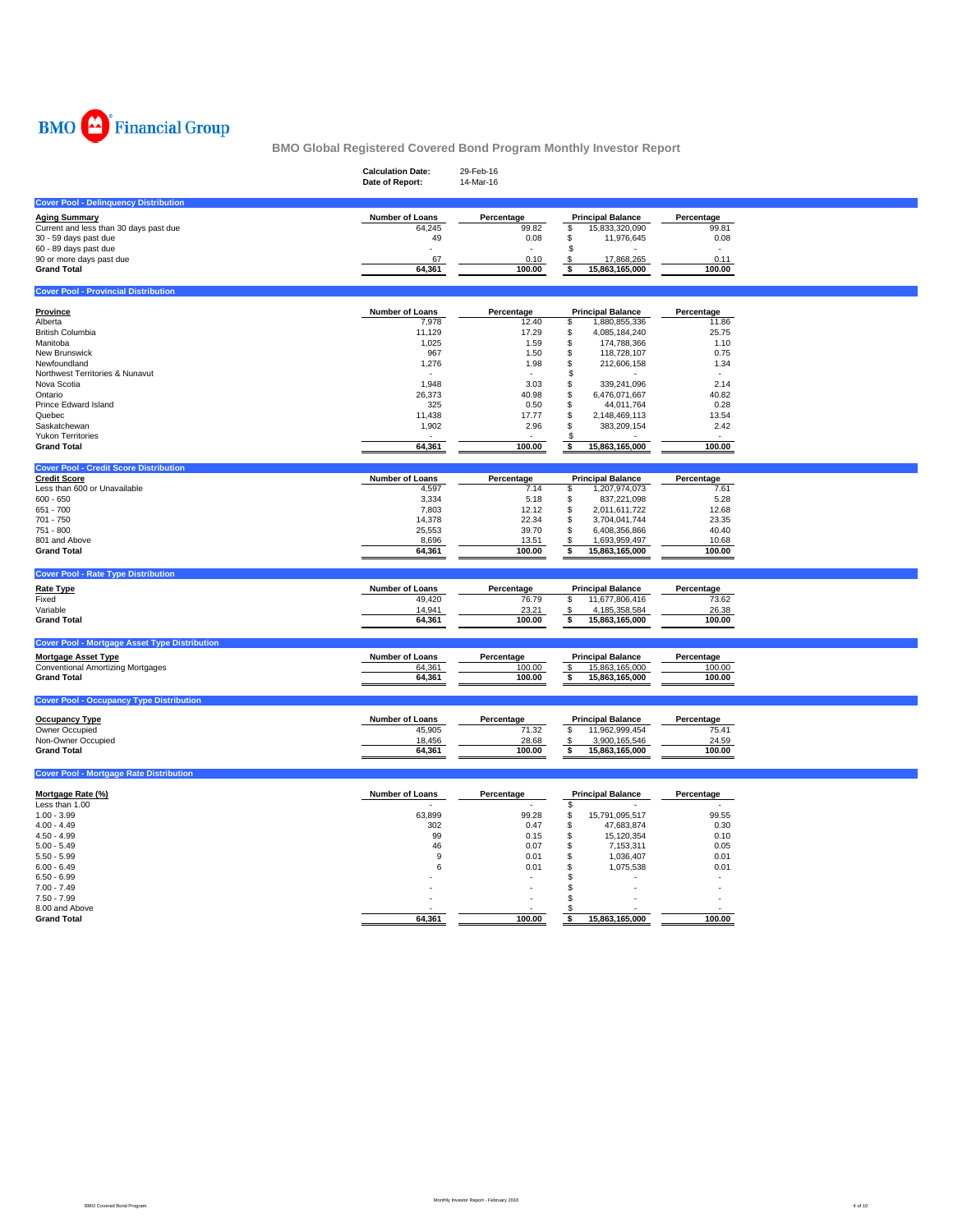

|                                                                      | <b>Calculation Date:</b><br>Date of Report: | 29-Feb-16<br>14-Mar-16 |                                      |                     |  |
|----------------------------------------------------------------------|---------------------------------------------|------------------------|--------------------------------------|---------------------|--|
| <b>Cover Pool - Delinquency Distribution</b>                         |                                             |                        |                                      |                     |  |
|                                                                      |                                             |                        |                                      |                     |  |
| <b>Aging Summary</b>                                                 | <b>Number of Loans</b>                      | Percentage             | <b>Principal Balance</b>             | Percentage          |  |
| Current and less than 30 days past due                               | 64,245                                      | 99.82                  | 15,833,320,090<br>\$                 | 99.81               |  |
| 30 - 59 days past due                                                | 49                                          | 0.08                   | \$<br>11,976,645                     | 0.08                |  |
| 60 - 89 days past due                                                |                                             |                        | \$                                   |                     |  |
| 90 or more days past due                                             | 67                                          | 0.10                   | 17,868,265<br>\$                     | 0.11                |  |
| <b>Grand Total</b>                                                   | 64,361                                      | 100.00                 | \$<br>15,863,165,000                 | 100.00              |  |
| <b>Cover Pool - Provincial Distribution</b>                          |                                             |                        |                                      |                     |  |
|                                                                      |                                             |                        |                                      |                     |  |
| <b>Province</b><br>Alberta                                           | Number of Loans                             | Percentage<br>12.40    | <b>Principal Balance</b><br>\$       | Percentage<br>11.86 |  |
| <b>British Columbia</b>                                              | 7,978<br>11,129                             | 17.29                  | 1,880,855,336<br>\$<br>4,085,184,240 | 25.75               |  |
| Manitoba                                                             | 1,025                                       | 1.59                   | \$<br>174,788,366                    | 1.10                |  |
|                                                                      |                                             |                        |                                      |                     |  |
| New Brunswick                                                        | 967                                         | 1.50                   | \$<br>118,728,107                    | 0.75                |  |
| Newfoundland                                                         | 1,276                                       | 1.98                   | \$<br>212,606,158                    | 1.34                |  |
| Northwest Territories & Nunavut                                      |                                             |                        | \$                                   |                     |  |
| Nova Scotia                                                          | 1,948                                       | 3.03                   | 339,241,096<br>\$                    | 2.14                |  |
| Ontario                                                              | 26,373                                      | 40.98                  | 6,476,071,667<br>\$                  | 40.82               |  |
| Prince Edward Island                                                 | 325                                         | 0.50                   | \$<br>44,011,764                     | 0.28                |  |
| Quebec                                                               | 11,438                                      | 17.77                  | \$<br>2,148,469,113                  | 13.54               |  |
| Saskatchewan                                                         | 1,902                                       | 2.96                   | \$<br>383,209,154                    | 2.42                |  |
| <b>Yukon Territories</b>                                             |                                             |                        |                                      |                     |  |
| <b>Grand Total</b>                                                   | 64,361                                      | 100.00                 | 15,863,165,000<br>\$                 | 100.00              |  |
|                                                                      |                                             |                        |                                      |                     |  |
| <b>Cover Pool - Credit Score Distribution</b><br><b>Credit Score</b> | <b>Number of Loans</b>                      | Percentage             | <b>Principal Balance</b>             | Percentage          |  |
| Less than 600 or Unavailable                                         |                                             | 7.14                   | 1,207,974,073                        | 7.61                |  |
|                                                                      | 4,597                                       |                        | \$                                   |                     |  |
| $600 - 650$                                                          | 3,334                                       | 5.18                   | \$<br>837,221,098                    | 5.28                |  |
| 651 - 700                                                            | 7,803                                       | 12.12                  | \$<br>2,011,611,722                  | 12.68               |  |
| 701 - 750                                                            | 14,378                                      | 22.34                  | \$<br>3,704,041,744                  | 23.35               |  |
| 751 - 800                                                            | 25,553                                      | 39.70                  | \$<br>6,408,356,866                  | 40.40               |  |
| 801 and Above                                                        | 8,696                                       | 13.51                  | 1,693,959,497<br>-\$                 | 10.68               |  |
| <b>Grand Total</b>                                                   | 64,361                                      | 100.00                 | 15,863,165,000<br>\$                 | 100.00              |  |
|                                                                      |                                             |                        |                                      |                     |  |
| <b>Cover Pool - Rate Type Distribution</b>                           |                                             |                        |                                      |                     |  |
| <b>Rate Type</b>                                                     | Number of Loans                             | Percentage             | <b>Principal Balance</b>             | Percentage          |  |
| Fixed                                                                | 49,420                                      | 76.79                  | 11,677,806,416<br>\$                 | 73.62               |  |
| Variable                                                             | 14,941                                      | 23.21                  | 4,185,358,584<br>\$                  | 26.38               |  |
| <b>Grand Total</b>                                                   | 64,361                                      | 100.00                 | 15,863,165,000<br>\$                 | 100.00              |  |
|                                                                      |                                             |                        |                                      |                     |  |
| <b>Cover Pool - Mortgage Asset Type Distribution</b>                 |                                             |                        |                                      |                     |  |
| <b>Mortgage Asset Type</b>                                           | Number of Loans                             | Percentage             | <b>Principal Balance</b>             | Percentage          |  |
| Conventional Amortizing Mortgages                                    | 64,361                                      | 100.00                 | 15,863,165,000<br>\$                 | 100.00              |  |
| <b>Grand Total</b>                                                   | 64,361                                      | 100.00                 | \$<br>15,863,165,000                 | 100.00              |  |
|                                                                      |                                             |                        |                                      |                     |  |
| <b>Cover Pool - Occupancy Type Distribution</b>                      |                                             |                        |                                      |                     |  |
| <b>Occupancy Type</b>                                                | Number of Loans                             | Percentage             | <b>Principal Balance</b>             | Percentage          |  |
| Owner Occupied                                                       |                                             | 71.32                  | 11,962,999,454<br>\$                 |                     |  |
| Non-Owner Occupied                                                   | 45,905                                      |                        |                                      | 75.41               |  |
|                                                                      | 18,456                                      | 28.68                  | 3,900,165,546<br>\$                  | 24.59               |  |
| <b>Grand Total</b>                                                   | 64,361                                      | 100.00                 | 15,863,165,000<br>\$                 | 100.00              |  |
| <b>Cover Pool - Mortgage Rate Distribution</b>                       |                                             |                        |                                      |                     |  |
|                                                                      |                                             |                        |                                      |                     |  |
| Mortgage Rate (%)                                                    | Number of Loans                             | Percentage             | <b>Principal Balance</b>             | Percentage          |  |
| Less than 1.00                                                       |                                             |                        | \$                                   |                     |  |
| $1.00 - 3.99$                                                        | 63,899                                      | 99.28                  | 15,791,095,517<br>\$                 | 99.55               |  |
| $4.00 - 4.49$                                                        | 302                                         | 0.47                   | \$<br>47,683,874                     | 0.30                |  |
| $4.50 - 4.99$                                                        | 99                                          | 0.15                   | 15,120,354<br>\$                     | 0.10                |  |
| $5.00 - 5.49$                                                        | 46                                          | 0.07                   | \$<br>7,153,311                      | 0.05                |  |
| $5.50 - 5.99$                                                        | 9                                           | 0.01                   | \$<br>1,036,407                      | 0.01                |  |
| $6.00 - 6.49$                                                        | 6                                           | 0.01                   | \$<br>1,075,538                      | 0.01                |  |
| $6.50 - 6.99$                                                        |                                             |                        | S.                                   |                     |  |
| $7.00 - 7.49$                                                        |                                             |                        | S.                                   |                     |  |
| $7.50 - 7.99$                                                        |                                             |                        | S.                                   |                     |  |
| 8.00 and Above                                                       |                                             |                        | S                                    |                     |  |
| <b>Grand Total</b>                                                   | 64.361                                      | 100.00                 | 15,863,165,000<br>\$                 | 100.00              |  |
|                                                                      |                                             |                        |                                      |                     |  |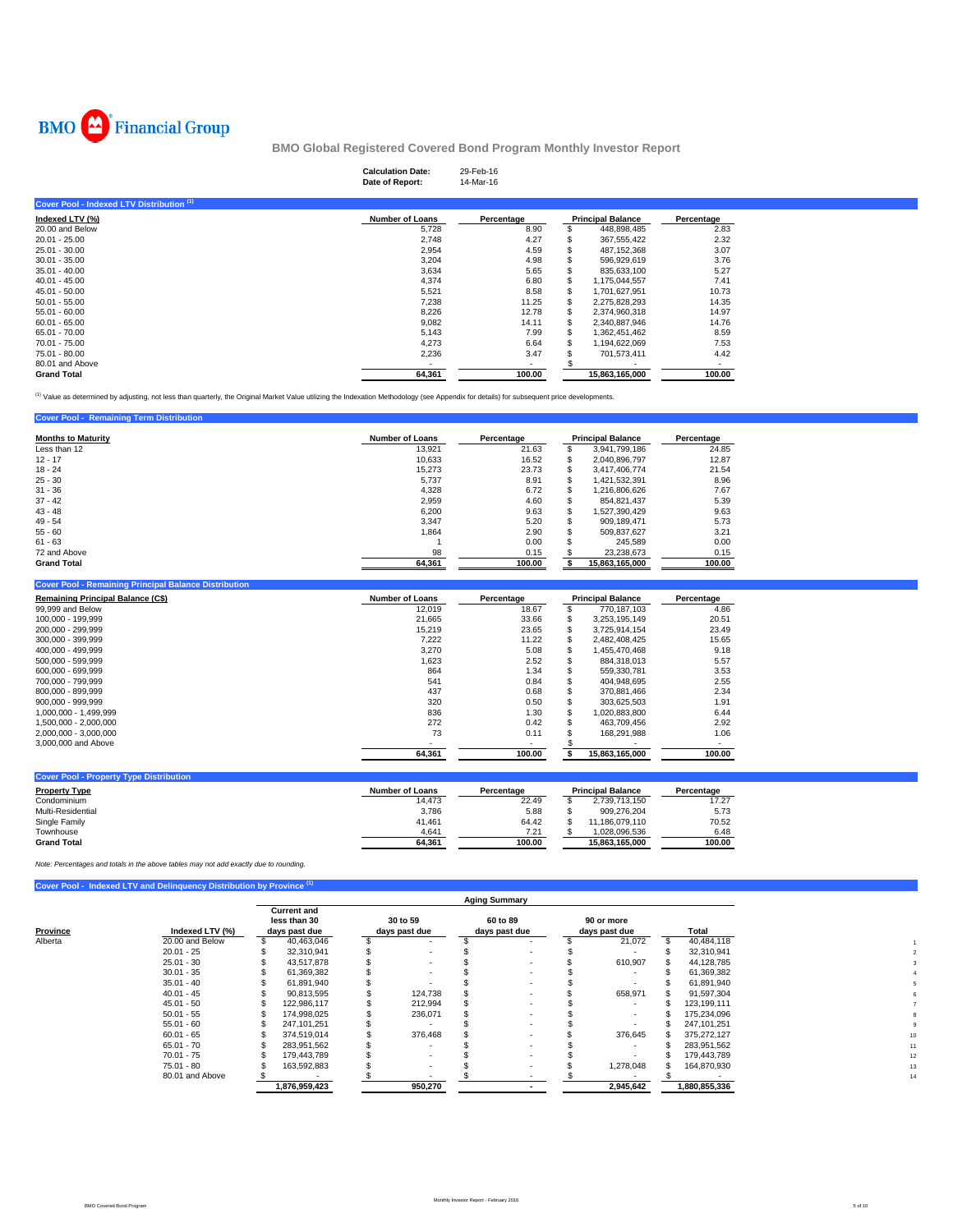

## **Calculation Date:** 29-Feb-16 **Date of Report:** 14-Mar-16

| Cover Pool - Indexed LTV Distribution (1) |                        |            |                          |            |
|-------------------------------------------|------------------------|------------|--------------------------|------------|
| Indexed LTV (%)                           | <b>Number of Loans</b> | Percentage | <b>Principal Balance</b> | Percentage |
| 20.00 and Below                           | 5,728                  | 8.90       | 448,898,485              | 2.83       |
| $20.01 - 25.00$                           | 2,748                  | 4.27       | 367.555.422              | 2.32       |
| $25.01 - 30.00$                           | 2,954                  | 4.59       | 487.152.368              | 3.07       |
| $30.01 - 35.00$                           | 3,204                  | 4.98       | 596.929.619              | 3.76       |
| $35.01 - 40.00$                           | 3,634                  | 5.65       | 835.633.100              | 5.27       |
| $40.01 - 45.00$                           | 4.374                  | 6.80       | 1.175.044.557            | 7.41       |
| $45.01 - 50.00$                           | 5,521                  | 8.58       | 1.701.627.951            | 10.73      |
| $50.01 - 55.00$                           | 7,238                  | 11.25      | 2,275,828,293            | 14.35      |
| $55.01 - 60.00$                           | 8,226                  | 12.78      | 2,374,960,318            | 14.97      |
| $60.01 - 65.00$                           | 9,082                  | 14.11      | 2,340,887,946            | 14.76      |
| 65.01 - 70.00                             | 5,143                  | 7.99       | 1.362.451.462            | 8.59       |
| 70.01 - 75.00                             | 4.273                  | 6.64       | 1.194.622.069            | 7.53       |
| 75.01 - 80.00                             | 2,236                  | 3.47       | 701.573.411              | 4.42       |
| 80.01 and Above                           |                        |            |                          | $\sim$     |
| <b>Grand Total</b>                        | 64,361                 | 100.00     | 15.863.165.000           | 100.00     |

<sup>(1)</sup> Value as determined by adjusting, not less than quarterly, the Original Market Value utilizing the Indexation Methodology (see Appendix for details) for subsequent price developments.

| <b>Cover Pool - Remaining Term Distribution</b> |                        |            |   |                          |            |
|-------------------------------------------------|------------------------|------------|---|--------------------------|------------|
| <b>Months to Maturity</b>                       | <b>Number of Loans</b> | Percentage |   | <b>Principal Balance</b> | Percentage |
| Less than 12                                    | 13.921                 | 21.63      |   | 3,941,799,186            | 24.85      |
| $12 - 17$                                       | 10.633                 | 16.52      | s | 2,040,896,797            | 12.87      |
| $18 - 24$                                       | 15.273                 | 23.73      |   | 3.417.406.774            | 21.54      |
| $25 - 30$                                       | 5.737                  | 8.91       | S | 1,421,532,391            | 8.96       |
| $31 - 36$                                       | 4,328                  | 6.72       |   | 1,216,806,626            | 7.67       |
| $37 - 42$                                       | 2.959                  | 4.60       |   | 854.821.437              | 5.39       |
| $43 - 48$                                       | 6,200                  | 9.63       |   | 1.527.390.429            | 9.63       |
| $49 - 54$                                       | 3.347                  | 5.20       |   | 909.189.471              | 5.73       |
| $55 - 60$                                       | 1,864                  | 2.90       |   | 509.837.627              | 3.21       |
| $61 - 63$                                       |                        | 0.00       |   | 245.589                  | 0.00       |
| 72 and Above                                    | 98                     | 0.15       |   | 23.238.673               | 0.15       |
| <b>Grand Total</b>                              | 64.361                 | 100.00     |   | 15,863,165,000           | 100.00     |

| <b>Cover Pool - Remaining Principal Balance Distribution</b> |                        |            |                          |            |
|--------------------------------------------------------------|------------------------|------------|--------------------------|------------|
| <b>Remaining Principal Balance (C\$)</b>                     | <b>Number of Loans</b> | Percentage | <b>Principal Balance</b> | Percentage |
| 99,999 and Below                                             | 12,019                 | 18.67      | 770.187.103              | 4.86       |
| 100.000 - 199.999                                            | 21.665                 | 33.66      | 3.253.195.149            | 20.51      |
| 200.000 - 299.999                                            | 15.219                 | 23.65      | 3,725,914,154            | 23.49      |
| 300.000 - 399.999                                            | 7,222                  | 11.22      | 2.482.408.425            | 15.65      |
| 400.000 - 499.999                                            | 3.270                  | 5.08       | 1.455.470.468            | 9.18       |
| 500.000 - 599.999                                            | 1,623                  | 2.52       | 884.318.013              | 5.57       |
| 600.000 - 699.999                                            | 864                    | 1.34       | 559.330.781              | 3.53       |
| 700.000 - 799.999                                            | 541                    | 0.84       | 404.948.695              | 2.55       |
| 800.000 - 899.999                                            | 437                    | 0.68       | 370.881.466              | 2.34       |
| $900.000 - 999.999$                                          | 320                    | 0.50       | 303.625.503              | 1.91       |
| 1.000.000 - 1.499.999                                        | 836                    | 1.30       | 1.020.883.800            | 6.44       |
| 1.500.000 - 2.000.000                                        | 272                    | 0.42       | 463.709.456              | 2.92       |
| 2.000.000 - 3.000.000                                        | 73                     | 0.11       | 168.291.988              | 1.06       |
| 3,000,000 and Above                                          |                        |            |                          |            |
|                                                              | 64,361                 | 100.00     | 15.863.165.000           | 100.00     |

| Number of Loans | Percentage |                | Percentage               |
|-----------------|------------|----------------|--------------------------|
| 14.473          | 22.49      | 2.739.713.150  | 17.27                    |
| 3.786           | 5.88       | 909.276.204    | 5.73                     |
| 41,461          | 64.42      | 11.186.079.110 | 70.52                    |
| 4,641           | 7.21       | 1.028.096.536  | 6.48                     |
| 64.361          | 100.00     | 15.863.165.000 | 100.00                   |
|                 |            |                | <b>Principal Balance</b> |

*Note: Percentages and totals in the above tables may not add exactly due to rounding.*

|  | Cover Pool - Indexed LTV and Delinquency Distribution by Province (1) |  |
|--|-----------------------------------------------------------------------|--|
|  |                                                                       |  |

|                 | <b>Aging Summary</b> |               |                                                     |         |                           |                          |                           |                          |                             |               |  |
|-----------------|----------------------|---------------|-----------------------------------------------------|---------|---------------------------|--------------------------|---------------------------|--------------------------|-----------------------------|---------------|--|
| Indexed LTV (%) |                      |               |                                                     |         |                           |                          |                           |                          |                             | Total         |  |
| 20.00 and Below |                      | 40,463,046    |                                                     |         |                           | $\overline{\phantom{a}}$ |                           | 21,072                   |                             | 40,484,118    |  |
| $20.01 - 25$    |                      | 32,310,941    |                                                     |         |                           | $\sim$                   |                           |                          |                             | 32,310,941    |  |
| $25.01 - 30$    |                      | 43.517.878    |                                                     |         |                           |                          |                           | 610,907                  |                             | 44,128,785    |  |
| $30.01 - 35$    |                      | 61,369,382    |                                                     |         |                           |                          |                           | $\sim$                   |                             | 61,369,382    |  |
| $35.01 - 40$    |                      | 61,891,940    |                                                     |         |                           | $\overline{\phantom{a}}$ |                           | $\sim$                   |                             | 61,891,940    |  |
| $40.01 - 45$    |                      | 90,813,595    |                                                     | 124.738 |                           |                          |                           | 658,971                  |                             | 91,597,304    |  |
| $45.01 - 50$    |                      | 122,986,117   |                                                     | 212,994 |                           |                          |                           | $\overline{\phantom{a}}$ |                             | 123,199,111   |  |
| $50.01 - 55$    |                      | 174,998,025   |                                                     | 236,071 |                           |                          |                           |                          |                             | 175,234,096   |  |
| $55.01 - 60$    |                      | 247, 101, 251 |                                                     |         |                           |                          |                           | $\overline{\phantom{a}}$ |                             | 247, 101, 251 |  |
| $60.01 - 65$    |                      | 374,519,014   |                                                     | 376.468 |                           | $\overline{\phantom{a}}$ |                           | 376,645                  |                             | 375.272.127   |  |
| $65.01 - 70$    |                      | 283,951,562   |                                                     |         |                           | $\overline{\phantom{a}}$ |                           | $\overline{\phantom{a}}$ |                             | 283,951,562   |  |
| $70.01 - 75$    |                      | 179.443.789   |                                                     |         |                           | $\overline{\phantom{a}}$ |                           | $\overline{\phantom{a}}$ |                             | 179,443,789   |  |
| $75.01 - 80$    |                      | 163,592,883   |                                                     |         |                           |                          |                           | 1.278.048                |                             | 164,870,930   |  |
| 80.01 and Above |                      |               |                                                     |         |                           |                          |                           |                          |                             |               |  |
|                 |                      | 1,876,959,423 |                                                     | 950,270 |                           |                          |                           | 2,945,642                |                             | 1,880,855,336 |  |
|                 |                      |               | <b>Current and</b><br>less than 30<br>days past due |         | 30 to 59<br>days past due |                          | 60 to 89<br>days past due |                          | 90 or more<br>days past due |               |  |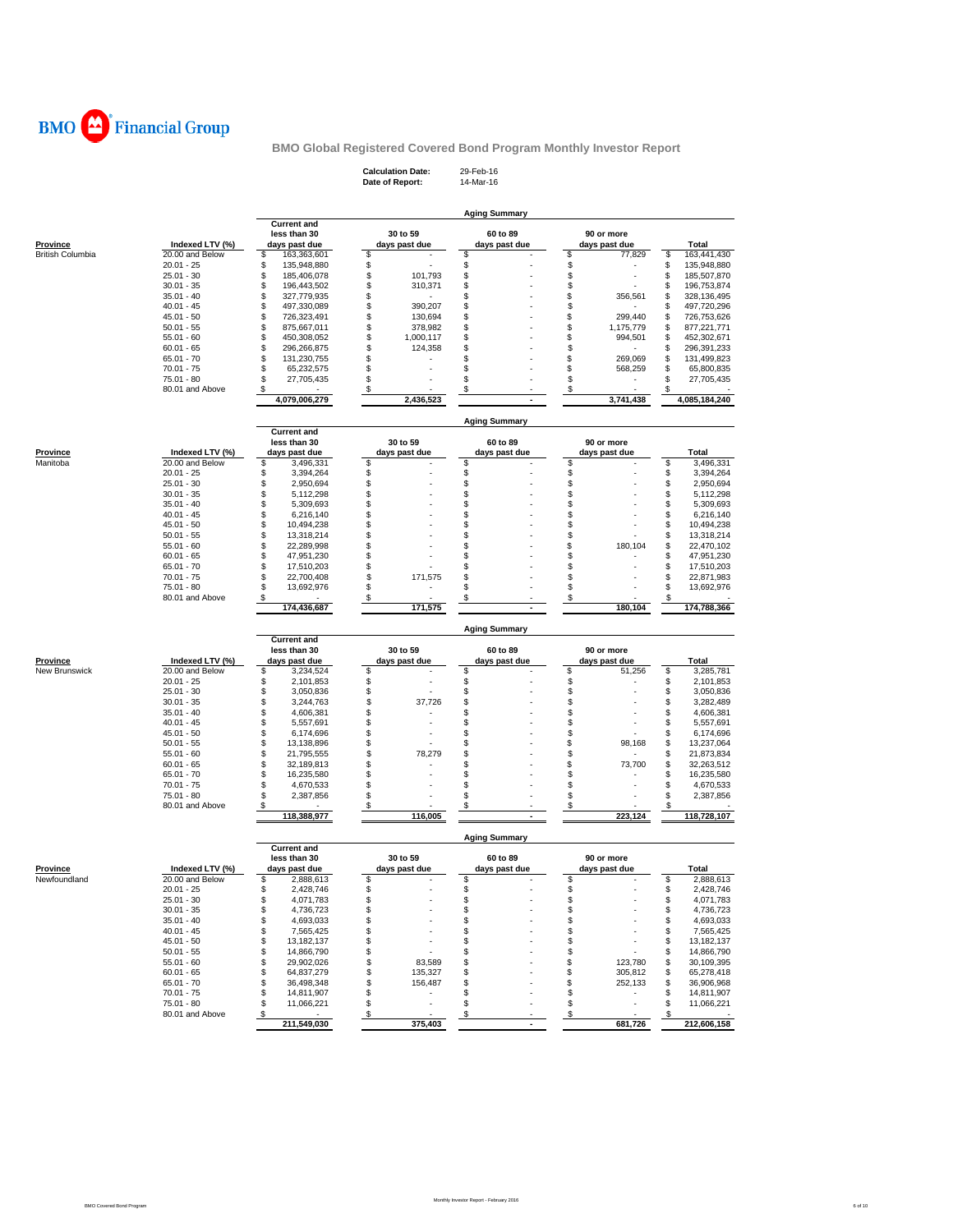

**Calculation Date:** 29-Feb-16 **Date of Report:** 14-Mar-16

|                          |                                    | <b>Current and</b>                     |          |                          | <b>Aging Summary</b> |          |               |          |                            |
|--------------------------|------------------------------------|----------------------------------------|----------|--------------------------|----------------------|----------|---------------|----------|----------------------------|
|                          |                                    | less than 30                           |          | 30 to 59                 | 60 to 89             |          | 90 or more    |          |                            |
| Province                 | Indexed LTV (%)                    | days past due                          |          | days past due            | days past due        |          | days past due |          | Total                      |
| <b>British Columbia</b>  | 20.00 and Below<br>$20.01 - 25$    | \$<br>163,363,601<br>\$<br>135,948,880 | \$<br>\$ |                          | \$<br>\$             | \$<br>\$ | 77,829        | \$<br>\$ | 163,441,430<br>135,948,880 |
|                          | $25.01 - 30$                       | \$<br>185,406,078                      | \$       | 101,793                  | \$                   | \$       |               | \$       | 185,507,870                |
|                          | $30.01 - 35$                       | \$<br>196,443,502                      | \$       | 310,371                  | \$                   | \$       |               | \$       | 196,753,874                |
|                          | $35.01 - 40$                       | \$<br>327,779,935                      | \$       |                          | \$                   | \$       | 356,561       | \$       | 328,136,495                |
|                          | $40.01 - 45$                       | \$<br>497,330,089                      | \$       | 390,207                  | \$                   | \$       |               | \$       | 497,720,296                |
|                          | $45.01 - 50$                       | \$<br>726,323,491                      | \$       | 130,694                  | \$                   | \$       | 299,440       | \$       | 726,753,626                |
|                          | $50.01 - 55$                       | \$<br>875,667,011                      | \$       | 378,982                  | \$                   | \$       | 1,175,779     | \$       | 877,221,771                |
|                          | $55.01 - 60$                       | \$<br>450,308,052                      | \$       | 1,000,117                | \$                   | \$       | 994,501       | \$       | 452,302,671                |
|                          | $60.01 - 65$                       | \$<br>296,266,875                      | \$       | 124,358                  | \$                   | \$       |               | \$       | 296,391,233                |
|                          | $65.01 - 70$                       | \$<br>131,230,755                      | \$       |                          | S                    | \$       | 269.069       | \$       | 131,499,823                |
|                          | $70.01 - 75$                       | \$<br>65,232,575                       | \$       |                          | \$                   | \$       | 568,259       | \$       | 65,800,835                 |
|                          | 75.01 - 80                         | \$<br>27,705,435                       | \$       |                          | \$                   | \$       |               | \$       | 27,705,435                 |
|                          | 80.01 and Above                    | \$                                     | \$       |                          | \$                   | \$       |               | \$       |                            |
|                          |                                    | 4,079,006,279                          |          | 2,436,523                |                      |          | 3,741,438     |          | 4,085,184,240              |
|                          |                                    | <b>Current and</b>                     |          |                          | <b>Aging Summary</b> |          |               |          |                            |
|                          |                                    | less than 30                           |          | 30 to 59                 | 60 to 89             |          | 90 or more    |          |                            |
| <u>Province</u>          | Indexed LTV (%)                    | days past due                          |          | days past due            | days past due        |          | days past due |          | Total                      |
| Manitoba                 | 20.00 and Below                    | \$<br>3,496,331                        | \$       |                          | \$                   | \$       |               | \$       | 3,496,331                  |
|                          | $20.01 - 25$                       | \$<br>3,394,264                        | \$       |                          | \$                   | \$       |               | \$       | 3,394,264                  |
|                          | $25.01 - 30$                       | \$<br>2,950,694                        | \$       |                          | \$                   | \$       |               | \$       | 2,950,694                  |
|                          | $30.01 - 35$                       | \$<br>5,112,298                        | \$       |                          | \$                   | \$       |               | \$       | 5,112,298                  |
|                          | $35.01 - 40$                       | \$<br>5,309,693                        | \$       |                          | \$                   | \$       |               | \$       | 5,309,693                  |
|                          | $40.01 - 45$                       | \$<br>6,216,140                        | \$       |                          | \$                   | \$       |               | \$       | 6,216,140                  |
|                          | $45.01 - 50$                       | \$<br>10,494,238<br>\$                 | \$<br>\$ |                          | \$<br>\$             | \$<br>\$ |               | \$       | 10,494,238<br>13,318,214   |
|                          | $50.01 - 55$<br>$55.01 - 60$       | 13,318,214<br>\$<br>22,289,998         | \$       |                          | \$                   | \$       | 180,104       | \$<br>\$ | 22,470,102                 |
|                          | $60.01 - 65$                       | \$<br>47,951,230                       | \$       |                          | \$                   | \$       |               | \$       | 47,951,230                 |
|                          | $65.01 - 70$                       | \$<br>17,510,203                       | \$       |                          | \$                   | \$       |               | \$       | 17,510,203                 |
|                          | $70.01 - 75$                       | \$<br>22,700,408                       | \$       | 171,575                  | \$                   | \$       |               | \$       | 22,871,983                 |
|                          | 75.01 - 80                         | \$<br>13,692,976                       | \$       |                          | \$                   | \$       |               | \$       | 13,692,976                 |
|                          | 80.01 and Above                    | \$                                     | \$       |                          | \$                   | \$       |               | \$       |                            |
|                          |                                    | 174,436,687                            |          | 171,575                  | $\blacksquare$       |          | 180,104       |          | 174,788,366                |
|                          |                                    |                                        |          |                          | <b>Aging Summary</b> |          |               |          |                            |
|                          |                                    | <b>Current and</b><br>less than 30     |          | 30 to 59                 | 60 to 89             |          | 90 or more    |          |                            |
| <b>Province</b>          | Indexed LTV (%)                    | days past due                          |          | days past due            | days past due        |          | days past due |          | <b>Total</b>               |
| New Brunswick            | 20.00 and Below                    | \$<br>3,234,524                        | \$       |                          | \$                   | \$       | 51,256        | \$       | 3,285,781                  |
|                          | $20.01 - 25$                       | \$<br>2,101,853                        | \$       |                          | \$                   | \$       |               | \$       | 2,101,853                  |
|                          | $25.01 - 30$                       | \$<br>3,050,836                        | \$       |                          | \$                   | \$       |               | \$       | 3,050,836                  |
|                          | $30.01 - 35$                       | \$<br>3,244,763                        | \$       | 37,726                   | \$                   | \$       |               | \$       | 3,282,489                  |
|                          | $35.01 - 40$                       | \$<br>4,606,381                        | \$       |                          | \$                   | \$       |               | \$       | 4,606,381                  |
|                          | $40.01 - 45$                       | \$<br>5,557,691                        | \$       |                          | \$                   | \$       |               | \$       | 5,557,691                  |
|                          | $45.01 - 50$                       | \$<br>6,174,696                        | \$       |                          | \$                   | \$       |               | \$       | 6,174,696                  |
|                          | $50.01 - 55$                       | \$<br>13,138,896                       | \$       |                          | \$                   | \$       | 98,168        | \$       | 13,237,064                 |
|                          | $55.01 - 60$                       | \$<br>21,795,555                       | \$       | 78,279                   | \$                   | \$       |               | \$       | 21,873,834                 |
|                          | $60.01 - 65$                       | \$<br>32,189,813                       | \$       |                          | \$                   | \$       | 73,700        | \$       | 32,263,512                 |
|                          | $65.01 - 70$                       | \$<br>16,235,580                       | \$       |                          | \$                   | \$       |               | \$       | 16,235,580                 |
|                          | $70.01 - 75$                       | \$<br>4,670,533                        | \$       |                          | \$                   | \$       |               | \$       | 4,670,533                  |
|                          | 75.01 - 80<br>80.01 and Above      | \$<br>2,387,856<br>\$                  | \$<br>\$ |                          | \$<br>\$             | \$<br>\$ |               | \$       | 2,387,856                  |
|                          |                                    | 118,388,977                            |          | 116,005                  |                      |          | 223,124       |          | 118,728,107                |
|                          |                                    |                                        |          |                          | <b>Aging Summary</b> |          |               |          |                            |
|                          |                                    | <b>Current and</b>                     |          |                          |                      |          |               |          |                            |
|                          |                                    | less than 30                           |          | 30 to 59                 | 60 to 89             |          | 90 or more    |          |                            |
| Province<br>Newfoundland | Indexed LTV (%)<br>20.00 and Below | days past due<br>\$                    | \$       | days past due            | days past due<br>\$  | \$       | days past due | S        | Total<br>2,888,613         |
|                          | $20.01 - 25$                       | 2,888,613<br>\$<br>2,428,746           | \$       |                          | \$                   | \$       |               | \$       | 2,428,746                  |
|                          | $25.01 - 30$                       |                                        |          |                          | \$                   | \$       |               | \$       |                            |
|                          | $30.01 - 35$                       | \$<br>4,071,783<br>\$<br>4,736,723     | \$<br>\$ |                          | \$                   | \$       |               | \$       | 4,071,783<br>4,736,723     |
|                          | $35.01 - 40$                       | \$<br>4,693,033                        | \$       |                          | \$                   | \$       |               | \$       | 4,693,033                  |
|                          | $40.01 - 45$                       | \$<br>7,565,425                        | \$       |                          | \$                   | \$       |               | \$       | 7,565,425                  |
|                          | $45.01 - 50$                       | \$<br>13,182,137                       | \$       |                          | \$                   | \$       |               | \$       | 13,182,137                 |
|                          | $50.01 - 55$                       | \$<br>14.866.790                       | \$       |                          | \$                   | \$       |               | \$       | 14,866,790                 |
|                          | $55.01 - 60$                       | \$<br>29,902,026                       | \$       | 83,589                   | \$                   | \$       | 123,780       | \$       | 30,109,395                 |
|                          | $60.01 - 65$                       | \$<br>64,837,279                       | \$       | 135.327                  | \$                   | \$       | 305,812       | \$       | 65,278,418                 |
|                          | $65.01 - 70$                       | \$<br>36,498,348                       | \$       | 156,487                  | \$                   | \$       | 252,133       | \$       | 36,906,968                 |
|                          | $70.01 - 75$                       | \$<br>14,811,907                       | \$       | $\overline{\phantom{a}}$ | \$                   | \$       |               | \$       | 14,811,907                 |
|                          | 75.01 - 80                         | \$<br>11,066,221                       | \$       | ٠                        | \$                   | \$       |               | \$       | 11,066,221                 |
|                          |                                    |                                        |          |                          |                      |          |               |          |                            |
|                          | 80.01 and Above                    | \$<br>211,549,030                      | \$       | 375,403                  | \$                   | \$       | 681,726       | \$       | 212,606,158                |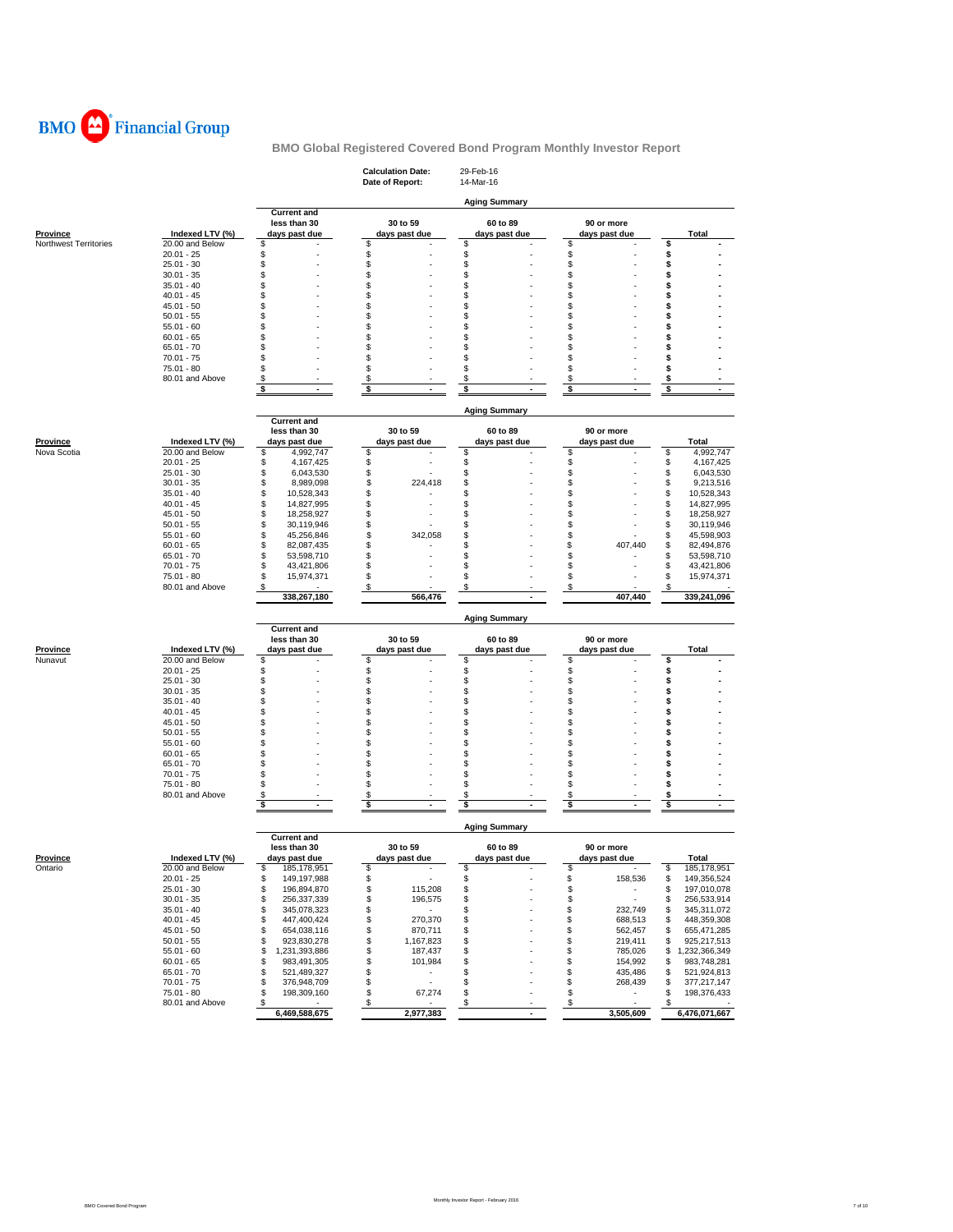

|                                   |                                    |                                        | <b>Calculation Date:</b><br>Date of Report: | 29-Feb-16<br>14-Mar-16 |                                |                                        |
|-----------------------------------|------------------------------------|----------------------------------------|---------------------------------------------|------------------------|--------------------------------|----------------------------------------|
|                                   |                                    |                                        |                                             |                        |                                |                                        |
|                                   |                                    | <b>Current and</b>                     |                                             | <b>Aging Summary</b>   |                                |                                        |
|                                   |                                    | less than 30                           | 30 to 59                                    | 60 to 89               | 90 or more                     |                                        |
| Province<br>Northwest Territories | Indexed LTV (%)<br>20.00 and Below | days past due<br>\$                    | days past due<br>\$                         | days past due<br>\$    | days past due<br>\$            | Total<br>\$                            |
|                                   | $20.01 - 25$                       | S                                      | \$                                          | \$                     | \$                             | \$                                     |
|                                   | $25.01 - 30$                       | S                                      | \$                                          | \$                     | \$                             | \$                                     |
|                                   | $30.01 - 35$                       | S                                      | \$                                          | S                      | \$                             | s                                      |
|                                   | $35.01 - 40$                       | \$<br>S                                | \$                                          | \$<br>S                | \$<br>\$                       | \$<br>Ś                                |
|                                   | $40.01 - 45$<br>$45.01 - 50$       | S                                      | \$<br>\$                                    | S                      | \$                             | \$                                     |
|                                   | $50.01 - 55$                       | S                                      | \$                                          | S                      | \$                             | \$                                     |
|                                   | $55.01 - 60$                       | S                                      | \$                                          | S                      | \$                             | S                                      |
|                                   | $60.01 - 65$                       | S                                      | \$                                          | S                      | \$                             | \$                                     |
|                                   | $65.01 - 70$                       | S                                      | \$                                          | S                      | \$                             | s                                      |
|                                   | $70.01 - 75$<br>$75.01 - 80$       | S<br>S                                 | \$<br>\$                                    | S<br>S                 | \$<br>\$                       | s<br>s                                 |
|                                   | 80.01 and Above                    | S                                      | \$                                          | S                      | \$                             | \$                                     |
|                                   |                                    | \$                                     | \$                                          | \$                     | \$                             | \$                                     |
|                                   |                                    |                                        |                                             |                        |                                |                                        |
|                                   |                                    | <b>Current and</b>                     |                                             | <b>Aging Summary</b>   |                                |                                        |
|                                   |                                    | less than 30                           | 30 to 59                                    | 60 to 89               | 90 or more                     |                                        |
| Province                          | Indexed LTV (%)                    | days past due                          | days past due                               | days past due          | days past due                  | <b>Total</b>                           |
| Nova Scotia                       | 20.00 and Below                    | 4,992,747<br>\$                        | \$                                          | S                      | \$                             | \$<br>4,992,747                        |
|                                   | $20.01 - 25$                       | \$<br>4,167,425                        | \$                                          | \$                     | \$                             | \$<br>4,167,425                        |
|                                   | $25.01 - 30$<br>$30.01 - 35$       | \$<br>6,043,530<br>\$<br>8,989,098     | \$<br>\$<br>224,418                         | \$<br>\$               | \$<br>\$                       | \$<br>6,043,530<br>\$<br>9,213,516     |
|                                   | $35.01 - 40$                       | \$<br>10,528,343                       | \$                                          | S                      | \$                             | \$<br>10,528,343                       |
|                                   | $40.01 - 45$                       | \$<br>14,827,995                       | \$                                          | S                      | \$                             | \$<br>14,827,995                       |
|                                   | $45.01 - 50$                       | \$<br>18,258,927                       | \$                                          | S                      | \$                             | \$<br>18,258,927                       |
|                                   | $50.01 - 55$                       | \$<br>30,119,946                       | \$                                          | S                      | \$                             | \$<br>30,119,946                       |
|                                   | $55.01 - 60$                       | \$<br>45,256,846                       | \$<br>342,058                               | S                      | \$                             | \$<br>45,598,903                       |
|                                   | $60.01 - 65$<br>$65.01 - 70$       | \$<br>82,087,435<br>\$                 | \$<br>\$                                    | S<br>\$                | \$<br>407,440<br>\$            | \$<br>82,494,876<br>\$                 |
|                                   | $70.01 - 75$                       | 53,598,710<br>\$<br>43,421,806         | \$                                          | S                      | \$                             | 53,598,710<br>\$<br>43,421,806         |
|                                   | 75.01 - 80                         | \$<br>15,974,371                       | \$                                          | S                      | \$                             | \$<br>15,974,371                       |
|                                   | 80.01 and Above                    | \$                                     | \$                                          | S                      | \$                             | \$                                     |
|                                   |                                    | 338,267,180                            | 566,476                                     |                        | 407,440                        | 339,241,096                            |
|                                   |                                    |                                        |                                             | <b>Aging Summary</b>   |                                |                                        |
|                                   |                                    | <b>Current and</b>                     |                                             |                        |                                |                                        |
|                                   |                                    | less than 30                           | 30 to 59                                    | 60 to 89               | 90 or more                     |                                        |
| <b>Province</b><br>Nunavut        | Indexed LTV (%)<br>20.00 and Below | days past due<br>\$                    | days past due<br>\$                         | days past due<br>\$    | days past due<br>\$            | Total<br>\$                            |
|                                   | $20.01 - 25$                       | \$                                     | \$                                          | \$                     | \$                             | \$                                     |
|                                   | $25.01 - 30$                       | \$                                     | \$                                          | \$                     | \$                             | s                                      |
|                                   | $30.01 - 35$                       | S                                      | \$                                          | \$                     | \$                             | \$                                     |
|                                   | $35.01 - 40$                       | S                                      | \$                                          | S                      | \$                             | S                                      |
|                                   | $40.01 - 45$                       | S<br>S                                 | \$<br>\$                                    | S<br>S                 | \$<br>\$                       | \$                                     |
|                                   | $45.01 - 50$<br>$50.01 - 55$       | S                                      | \$                                          | S                      | \$                             | \$<br>\$                               |
|                                   | $55.01 - 60$                       | S                                      | \$                                          | \$                     | \$                             | s                                      |
|                                   | $60.01 - 65$                       | S                                      | \$                                          | S                      | \$                             | \$                                     |
|                                   | $65.01 - 70$                       | S                                      | \$                                          | S                      | \$                             | s                                      |
|                                   | $70.01 - 75$                       | S                                      | \$                                          | S                      | \$                             | \$                                     |
|                                   | 75.01 - 80<br>80.01 and Above      | S<br>\$                                | \$<br>\$                                    | \$<br>\$               | \$<br>\$                       | \$<br>s                                |
|                                   |                                    | \$<br>ä,                               | \$<br>ä,                                    | \$<br>ä,               | \$<br>Ĭ.                       | \$<br>ä,                               |
|                                   |                                    |                                        |                                             |                        |                                |                                        |
|                                   |                                    | <b>Current and</b>                     |                                             | <b>Aging Summary</b>   |                                |                                        |
|                                   |                                    | less than 30                           | 30 to 59                                    | 60 to 89               | 90 or more                     |                                        |
| <b>Province</b>                   | Indexed LTV (%)                    | days past due                          | days past due                               | days past due          | days past due                  | <b>Total</b>                           |
| Ontario                           | 20.00 and Below                    | S,<br>185,178,951                      | \$<br>$\sim$                                | S                      | æ.                             | \$<br>185,178,951                      |
|                                   | $20.01 - 25$                       | \$<br>149,197,988                      | \$                                          | \$                     | \$<br>158,536                  | \$<br>149,356,524                      |
|                                   | 25.01 - 30<br>$30.01 - 35$         | \$<br>196,894,870<br>\$<br>256,337,339 | \$<br>115,208<br>\$<br>196,575              | \$<br>\$               | \$<br>$\sim$<br>\$<br>$\sim$   | \$<br>197,010,078<br>\$<br>256,533,914 |
|                                   | $35.01 - 40$                       | \$<br>345,078,323                      | \$<br>$\sim$                                | \$                     | \$<br>232,749                  | \$<br>345,311,072                      |
|                                   | $40.01 - 45$                       | \$<br>447,400,424                      | \$<br>270,370                               | \$                     | \$<br>688,513                  | 448,359,308<br>\$                      |
|                                   | $45.01 - 50$                       | \$<br>654,038,116                      | \$<br>870,711                               | \$                     | \$<br>562,457                  | 655,471,285<br>\$                      |
|                                   | $50.01 - 55$                       | \$<br>923,830,278                      | \$<br>1,167,823                             | \$                     | \$<br>219,411                  | 925,217,513<br>\$                      |
|                                   | $55.01 - 60$                       | \$<br>1,231,393,886                    | \$<br>187,437                               | \$                     | \$<br>785,026                  | \$1,232,366,349                        |
|                                   | $60.01 - 65$                       | \$<br>983,491,305                      | \$<br>101,984                               | \$                     | \$<br>154,992                  | 983,748,281<br>\$                      |
|                                   | $65.01 - 70$<br>70.01 - 75         | \$<br>521,489,327<br>376,948,709<br>\$ | \$<br>$\sim$<br>\$<br>×.                    | S<br>\$                | \$<br>435,486<br>\$<br>268,439 | \$<br>521,924,813<br>\$                |
|                                   | 75.01 - 80                         | \$<br>198,309,160                      | \$<br>67,274                                | \$                     | \$<br>$\sim$                   | 377,217,147<br>\$<br>198,376,433       |
|                                   | 80.01 and Above                    | \$<br>$\sim$                           | \$<br>$\sim$                                | \$                     | \$<br>$\sim$                   | \$                                     |
|                                   |                                    | 6,469,588,675                          | 2,977,383                                   |                        | 3,505,609                      | 6,476,071,667                          |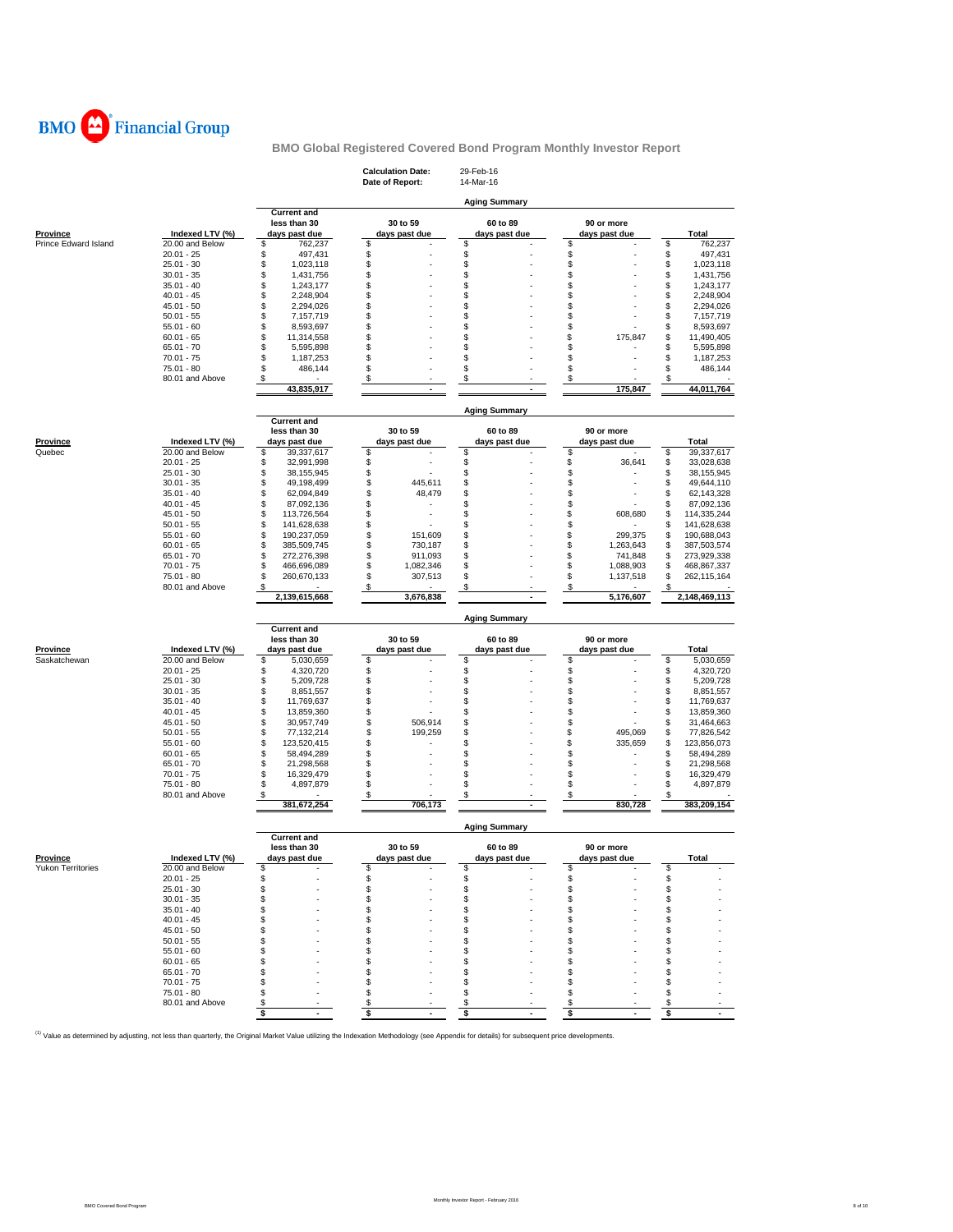

|                          |                                 |                                        | <b>Calculation Date:</b><br>Date of Report: | 29-Feb-16<br>14-Mar-16 |                                    |                                        |
|--------------------------|---------------------------------|----------------------------------------|---------------------------------------------|------------------------|------------------------------------|----------------------------------------|
|                          |                                 |                                        |                                             |                        |                                    |                                        |
|                          |                                 | <b>Current and</b>                     |                                             | <b>Aging Summary</b>   |                                    |                                        |
|                          |                                 | less than 30                           | 30 to 59                                    | 60 to 89               | 90 or more                         |                                        |
| <b>Province</b>          | Indexed LTV (%)                 | days past due                          | days past due                               | days past due          | days past due                      | Total                                  |
| Prince Edward Island     | 20.00 and Below<br>$20.01 - 25$ | \$<br>762,237<br>\$                    | \$                                          | \$                     | \$                                 | \$<br>762,237                          |
|                          | $25.01 - 30$                    | 497,431<br>\$<br>1,023,118             | \$<br>\$                                    | \$<br>\$               | \$<br>\$                           | \$<br>497,431<br>\$<br>1,023,118       |
|                          | $30.01 - 35$                    | \$<br>1,431,756                        | \$                                          | \$                     | \$                                 | \$<br>1,431,756                        |
|                          | $35.01 - 40$                    | \$<br>1,243,177                        | \$                                          | \$                     | \$                                 | \$<br>1,243,177                        |
|                          | $40.01 - 45$                    | \$<br>2,248,904                        | \$                                          | \$                     | \$                                 | \$<br>2,248,904                        |
|                          | 45.01 - 50                      | \$<br>2,294,026                        | \$<br>\$                                    | \$<br>\$               | \$<br>\$                           | \$<br>2,294,026                        |
|                          | $50.01 - 55$<br>$55.01 - 60$    | \$<br>7,157,719<br>\$<br>8,593,697     | \$                                          | \$                     | \$                                 | \$<br>7,157,719<br>\$<br>8,593,697     |
|                          | $60.01 - 65$                    | \$<br>11,314,558                       | \$                                          | \$                     | \$<br>175,847                      | \$<br>11,490,405                       |
|                          | 65.01 - 70                      | \$<br>5,595,898                        | \$                                          | \$                     | \$                                 | \$<br>5,595,898                        |
|                          | $70.01 - 75$                    | \$<br>1,187,253                        | \$                                          | S                      | \$                                 | \$<br>1,187,253                        |
|                          | 75.01 - 80                      | \$<br>486,144                          | \$                                          | \$<br>\$               | \$                                 | \$<br>486,144                          |
|                          | 80.01 and Above                 | \$<br>43,835,917                       | \$                                          |                        | \$<br>175,847                      | \$<br>44,011,764                       |
|                          |                                 |                                        |                                             |                        |                                    |                                        |
|                          |                                 |                                        |                                             | <b>Aging Summary</b>   |                                    |                                        |
|                          |                                 | <b>Current and</b><br>less than 30     | 30 to 59                                    | 60 to 89               | 90 or more                         |                                        |
| Province                 | Indexed LTV (%)                 | days past due                          | days past due                               | days past due          | days past due                      | Total                                  |
| Quebec                   | 20.00 and Below                 | \$<br>39,337,617                       | \$                                          | \$                     | \$                                 | \$<br>39,337,617                       |
|                          | $20.01 - 25$                    | \$<br>32,991,998                       | \$                                          | \$                     | \$<br>36,641                       | \$<br>33,028,638                       |
|                          | $25.01 - 30$                    | \$<br>38,155,945                       | \$                                          | \$                     | \$                                 | \$<br>38, 155, 945                     |
|                          | $30.01 - 35$<br>$35.01 - 40$    | \$<br>49,198,499<br>\$                 | \$<br>445,611<br>\$<br>48,479               | \$<br>\$               | \$<br>\$                           | \$<br>49,644,110<br>\$                 |
|                          | $40.01 - 45$                    | 62,094,849<br>\$<br>87,092,136         | \$                                          | \$                     | \$                                 | 62,143,328<br>\$<br>87,092,136         |
|                          | 45.01 - 50                      | \$<br>113,726,564                      | \$                                          | \$                     | \$<br>608,680                      | \$<br>114,335,244                      |
|                          | $50.01 - 55$                    | \$<br>141,628,638                      | \$                                          | \$                     | \$                                 | \$<br>141,628,638                      |
|                          | $55.01 - 60$                    | \$<br>190,237,059                      | \$<br>151,609                               | \$                     | \$<br>299,375                      | \$<br>190,688,043                      |
|                          | $60.01 - 65$                    | \$<br>385,509,745                      | \$<br>730,187                               | \$                     | \$<br>1,263,643                    | \$<br>387,503,574                      |
|                          | $65.01 - 70$                    | \$<br>272,276,398                      | \$<br>911,093                               | \$                     | \$<br>741,848                      | \$<br>273,929,338                      |
|                          | $70.01 - 75$<br>75.01 - 80      | \$<br>466,696,089<br>\$<br>260,670,133 | \$<br>1,082,346<br>\$<br>307,513            | \$<br>\$               | \$<br>1,088,903<br>\$<br>1,137,518 | \$<br>468,867,337<br>\$<br>262,115,164 |
|                          | 80.01 and Above                 | \$                                     | \$                                          | \$                     | \$                                 | \$                                     |
|                          |                                 | 2,139,615,668                          | 3,676,838                                   |                        | 5,176,607                          | 2,148,469,113                          |
|                          |                                 |                                        |                                             | <b>Aging Summary</b>   |                                    |                                        |
|                          |                                 | <b>Current and</b>                     |                                             |                        |                                    |                                        |
|                          |                                 | less than 30                           | 30 to 59                                    | 60 to 89               | 90 or more                         |                                        |
| <b>Province</b>          | Indexed LTV (%)                 | days past due                          | days past due                               | days past due          | days past due                      | Total                                  |
| Saskatchewan             | 20.00 and Below<br>$20.01 - 25$ | \$<br>5,030,659<br>\$<br>4,320,720     | \$<br>\$                                    | \$<br>\$               | \$<br>\$                           | \$<br>5,030,659<br>\$<br>4,320,720     |
|                          | $25.01 - 30$                    | \$<br>5,209,728                        | \$                                          | \$                     | \$                                 | \$<br>5,209,728                        |
|                          | $30.01 - 35$                    | \$<br>8,851,557                        | \$                                          | \$                     | \$                                 | \$<br>8,851,557                        |
|                          | $35.01 - 40$                    | \$<br>11,769,637                       | \$                                          | \$                     | \$                                 | \$<br>11,769,637                       |
|                          | 40.01 - 45                      | \$<br>13,859,360                       | \$                                          | \$                     | \$                                 | \$<br>13,859,360                       |
|                          | $45.01 - 50$                    | \$<br>30,957,749<br>\$                 | \$<br>506,914                               | \$                     | \$                                 | \$<br>31,464,663                       |
|                          | $50.01 - 55$<br>$55.01 - 60$    | 77,132,214<br>\$<br>123,520,415        | \$<br>199,259<br>\$                         | \$<br>S                | \$<br>495,069<br>\$<br>335,659     | \$<br>77,826,542<br>\$<br>123,856,073  |
|                          | $60.01 - 65$                    | \$<br>58,494,289                       | \$                                          | \$                     | \$                                 | \$<br>58,494,289                       |
|                          | $65.01 - 70$                    | \$<br>21,298,568                       | \$                                          | \$                     | \$                                 | \$<br>21,298,568                       |
|                          | $70.01 - 75$                    | \$<br>16,329,479                       | \$                                          | \$                     | \$                                 | \$<br>16,329,479                       |
|                          | 75.01 - 80                      | \$<br>4,897,879                        | \$                                          | \$                     | \$                                 | \$<br>4,897,879                        |
|                          | 80.01 and Above                 | \$<br>381,672,254                      | \$<br>706,173                               | \$<br>٠                | \$<br>830,728                      | \$<br>383,209,154                      |
|                          |                                 |                                        |                                             |                        |                                    |                                        |
|                          |                                 | <b>Current and</b>                     |                                             | <b>Aging Summary</b>   |                                    |                                        |
|                          |                                 | less than 30                           | 30 to 59                                    | 60 to 89               | 90 or more                         |                                        |
| <b>Province</b>          | Indexed LTV (%)                 | days past due                          | days past due                               | days past due          | days past due                      | <b>Total</b>                           |
| <b>Yukon Territories</b> | 20.00 and Below<br>20.01 - 25   | S<br>\$                                | \$<br>\$                                    | s<br>\$                | \$                                 | S<br>\$                                |
|                          | $25.01 - 30$                    | \$                                     | \$                                          | \$                     | \$                                 | \$                                     |
|                          | $30.01 - 35$                    | \$                                     | \$                                          | \$                     | \$                                 | \$                                     |
|                          | $35.01 - 40$                    | \$                                     | \$                                          | \$                     | \$                                 | \$                                     |
|                          | $40.01 - 45$                    | \$                                     | \$                                          | \$                     | \$                                 | \$                                     |
|                          | 45.01 - 50                      | \$                                     | \$                                          | \$                     | \$                                 | \$                                     |
|                          | $50.01 - 55$                    | \$                                     | \$<br>\$                                    | S<br>S                 | \$<br>\$                           | \$                                     |
|                          | $55.01 - 60$<br>$60.01 - 65$    | \$<br>\$                               | \$                                          | S                      | \$                                 | \$<br>\$                               |
|                          | 65.01 - 70                      | \$                                     | S                                           | \$                     | \$                                 | \$                                     |
|                          | $70.01 - 75$                    | \$                                     | S                                           | \$                     | \$                                 | \$                                     |
|                          | 75.01 - 80                      | \$                                     | \$                                          | \$                     | \$                                 | \$                                     |
|                          |                                 |                                        |                                             |                        |                                    |                                        |
|                          | 80.01 and Above                 | \$<br>\$                               | \$<br>\$                                    | \$<br>\$               | \$<br>\$                           | \$<br>\$                               |

<sup>(1)</sup> Value as determined by adjusting, not less than quarterly, the Original Market Value utilizing the Indexation Methodology (see Appendix for details) for subsequent price developments.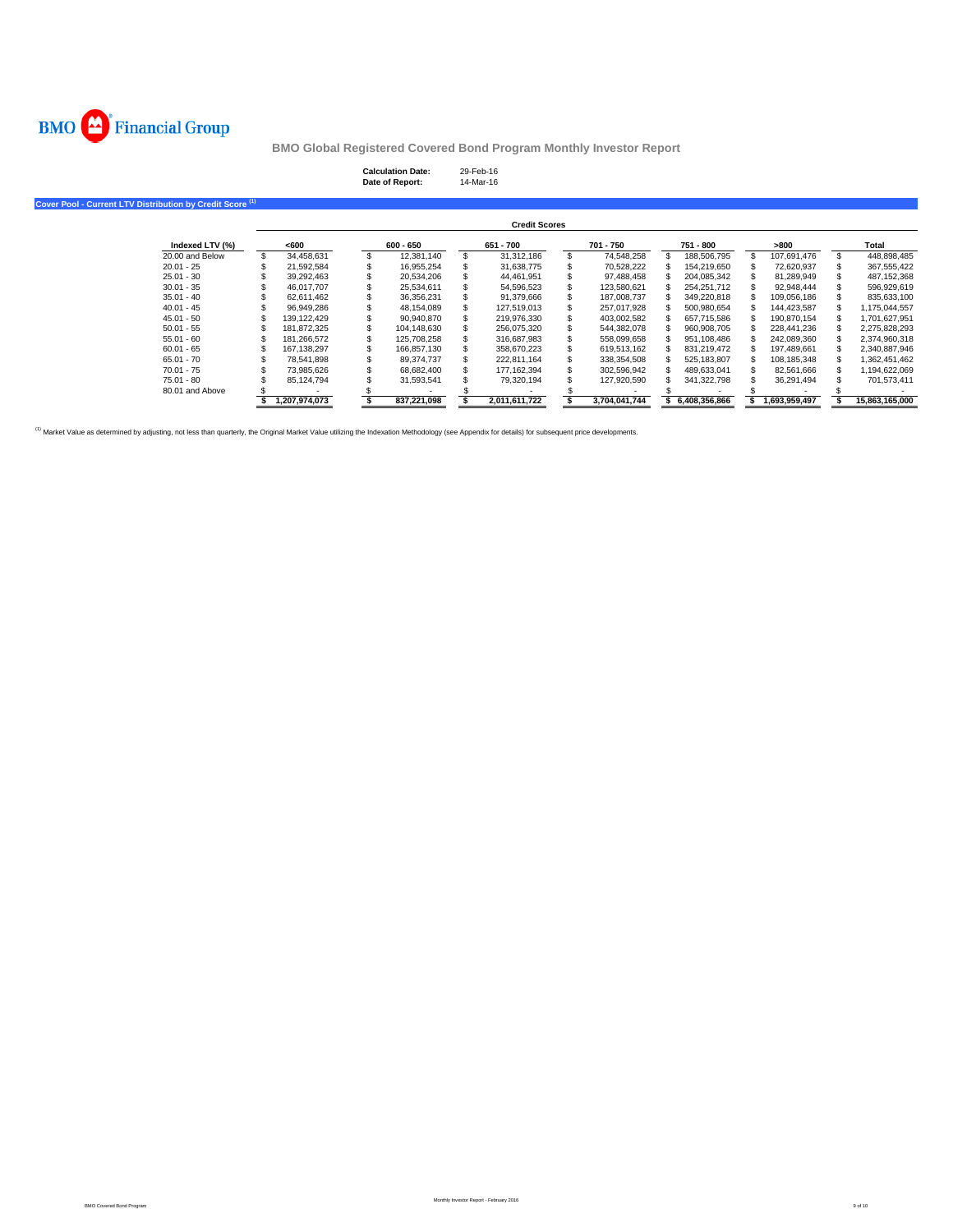

## **Calculation Date:** 29-Feb-16 **Date of Report:** 14-Mar-16

**Cover Pool - Current LTV Distribution by Credit Score (1)**

|                 |               |             | <b>Credit Scores</b> |               |               |               |                |
|-----------------|---------------|-------------|----------------------|---------------|---------------|---------------|----------------|
| Indexed LTV (%) | <600          | $600 - 650$ | 651 - 700            | 701 - 750     | 751 - 800     | >800          | Total          |
| 20.00 and Below | 34.458.631    | 12.381.140  | 31.312.186           | 74.548.258    | 188,506,795   | 107.691.476   | 448.898.485    |
| $20.01 - 25$    | 21.592.584    | 16.955.254  | 31.638.775           | 70.528.222    | 154.219.650   | 72.620.937    | 367,555,422    |
| $25.01 - 30$    | 39.292.463    | 20.534.206  | 44.461.951           | 97.488.458    | 204.085.342   | 81.289.949    | 487.152.368    |
| $30.01 - 35$    | 46.017.707    | 25.534.611  | 54.596.523           | 123.580.621   | 254.251.712   | 92.948.444    | 596.929.619    |
| $35.01 - 40$    | 62.611.462    | 36,356,231  | 91,379,666           | 187.008.737   | 349.220.818   | 109.056.186   | 835,633,100    |
| $40.01 - 45$    | 96.949.286    | 48.154.089  | 127.519.013          | 257.017.928   | 500.980.654   | 144.423.587   | 1.175.044.557  |
| $45.01 - 50$    | 139.122.429   | 90.940.870  | 219.976.330          | 403.002.582   | 657.715.586   | 190.870.154   | 1.701.627.951  |
| $50.01 - 55$    | 181.872.325   | 104.148.630 | 256.075.320          | 544.382.078   | 960.908.705   | 228.441.236   | 2,275,828,293  |
| $55.01 - 60$    | 181.266.572   | 125.708.258 | 316.687.983          | 558.099.658   | 951.108.486   | 242.089.360   | 2,374,960,318  |
| $60.01 - 65$    | 167.138.297   | 166.857.130 | 358.670.223          | 619.513.162   | 831.219.472   | 197.489.661   | 2.340.887.946  |
| $65.01 - 70$    | 78.541.898    | 89.374.737  | 222.811.164          | 338.354.508   | 525.183.807   | 108.185.348   | 1,362,451,462  |
| $70.01 - 75$    | 73.985.626    | 68.682.400  | 177.162.394          | 302.596.942   | 489.633.041   | 82.561.666    | 1,194,622,069  |
| 75.01 - 80      | 85.124.794    | 31.593.541  | 79.320.194           | 127.920.590   | 341.322.798   | 36.291.494    | 701.573.411    |
| 80.01 and Above |               |             |                      |               |               |               |                |
|                 | 1.207.974.073 | 837.221.098 | 2.011.611.722        | 3.704.041.744 | 6.408.356.866 | 1.693.959.497 | 15.863.165.000 |

<sup>(1)</sup> Market Value as determined by adjusting, not less than quarterly, the Original Market Value utilizing the Indexation Methodology (see Appendix for details) for subsequent price developments.